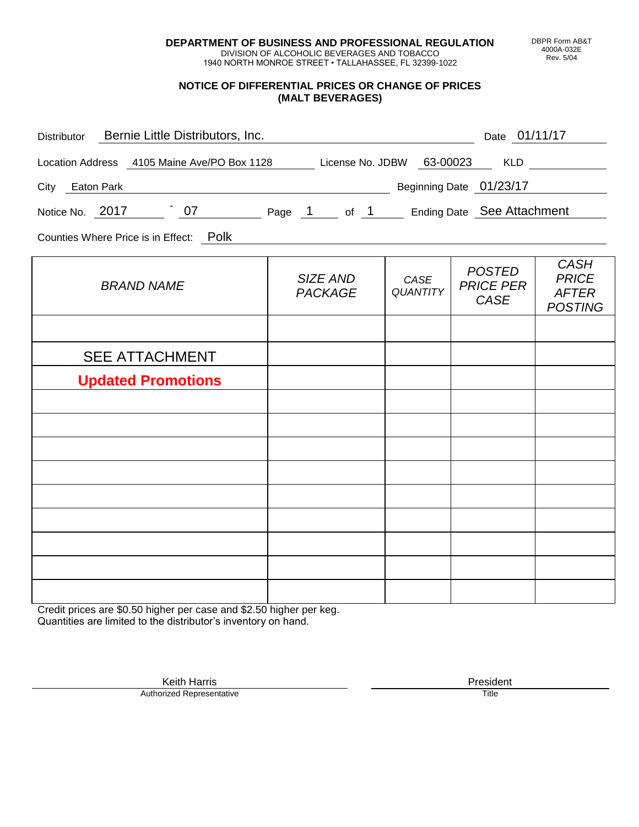**DEPARTMENT OF BUSINESS AND PROFESSIONAL REGULATION** DIVISION OF ALCOHOLIC BEVERAGES AND TOBACCO

1940 NORTH MONROE STREET • TALLAHASSEE, FL 32399-1022

## **NOTICE OF DIFFERENTIAL PRICES OR CHANGE OF PRICES (MALT BEVERAGES)**

| SIZE AND<br><b>PACKAGE</b> | CASE<br><b>QUANTITY</b>                      | <b>POSTED</b><br><b>PRICE PER</b><br><b>CASE</b> | <b>CASH</b><br><b>PRICE</b><br><b>AFTER</b><br><b>POSTING</b>                                                                                                                                 |
|----------------------------|----------------------------------------------|--------------------------------------------------|-----------------------------------------------------------------------------------------------------------------------------------------------------------------------------------------------|
|                            |                                              |                                                  |                                                                                                                                                                                               |
|                            |                                              |                                                  |                                                                                                                                                                                               |
|                            |                                              |                                                  |                                                                                                                                                                                               |
|                            |                                              |                                                  |                                                                                                                                                                                               |
|                            |                                              |                                                  |                                                                                                                                                                                               |
|                            |                                              |                                                  |                                                                                                                                                                                               |
|                            |                                              |                                                  |                                                                                                                                                                                               |
|                            |                                              |                                                  |                                                                                                                                                                                               |
|                            |                                              |                                                  |                                                                                                                                                                                               |
|                            |                                              |                                                  |                                                                                                                                                                                               |
|                            |                                              |                                                  |                                                                                                                                                                                               |
|                            | Distributor Bernie Little Distributors, Inc. |                                                  | Date 01/11/17<br>Location Address 4105 Maine Ave/PO Box 1128 License No. JDBW 63-00023 KLD<br>Beginning Date 01/23/17<br>Notice No. 2017 107 2017 2018 Page 1 of 1 Ending Date See Attachment |

Credit prices are \$0.50 higher per case and \$2.50 higher per keg. Quantities are limited to the distributor's inventory on hand.

> Keith Harris **President** President **President** President **President** President **President** Authorized Representative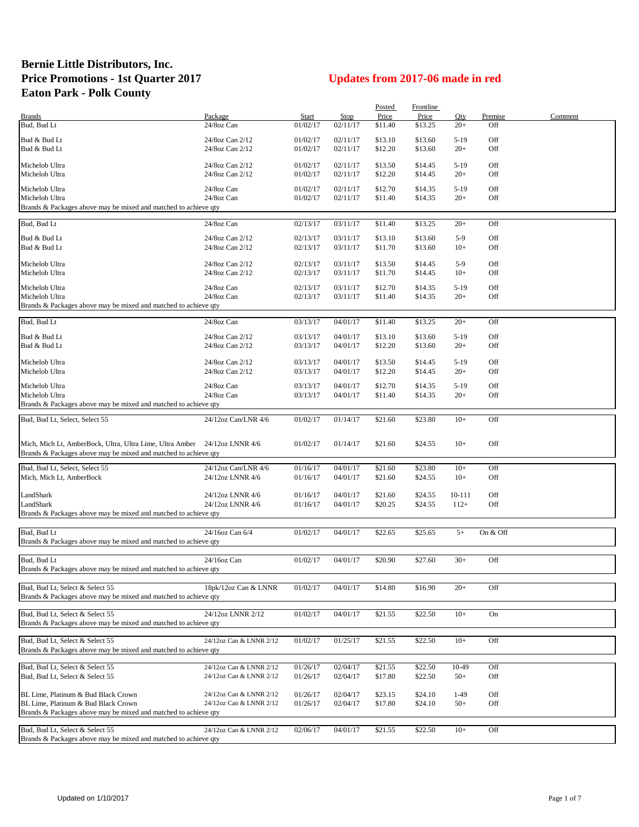## **Bernie Little Distributors, Inc. Price Promotions - 1st Quarter 2017 Updates from 2017-06 made in red Eaton Park - Polk County**

|                                                                 |                                      |                      |             | Posted             | Frontline          |                  |            |         |
|-----------------------------------------------------------------|--------------------------------------|----------------------|-------------|--------------------|--------------------|------------------|------------|---------|
| <b>Brands</b>                                                   | Package                              | Start                | <b>Stop</b> | Price              | Price              | Qty              | Premise    | Comment |
| Bud, Bud Lt                                                     | 24/8oz Can                           | 01/02/17             | 02/11/17    | \$11.40            | \$13.25            | $20+$            | Off        |         |
|                                                                 |                                      |                      | 02/11/17    |                    |                    |                  |            |         |
| Bud & Bud Lt<br>Bud & Bud Lt                                    | 24/8oz Can 2/12<br>24/8oz Can 2/12   | 01/02/17<br>01/02/17 | 02/11/17    | \$13.10<br>\$12.20 | \$13.60<br>\$13.60 | $5-19$<br>$20+$  | Off<br>Off |         |
|                                                                 |                                      |                      |             |                    |                    |                  |            |         |
| Michelob Ultra                                                  | 24/8oz Can 2/12                      | 01/02/17             | 02/11/17    | \$13.50            | \$14.45            | $5-19$           | Off        |         |
| Michelob Ultra                                                  | 24/8oz Can 2/12                      | 01/02/17             | 02/11/17    | \$12.20            | \$14.45            | $20+$            | Off        |         |
|                                                                 |                                      |                      |             |                    |                    |                  |            |         |
| Michelob Ultra                                                  | 24/8oz Can                           | 01/02/17             | 02/11/17    | \$12.70            | \$14.35            | $5-19$           | Off        |         |
| Michelob Ultra                                                  | 24/8oz Can                           | 01/02/17             | 02/11/17    | \$11.40            | \$14.35            | $20+$            | Off        |         |
| Brands & Packages above may be mixed and matched to achieve qty |                                      |                      |             |                    |                    |                  |            |         |
| Bud, Bud Lt                                                     | 24/8oz Can                           | 02/13/17             | 03/11/17    | \$11.40            | \$13.25            | $20+$            | Off        |         |
|                                                                 |                                      |                      |             |                    |                    |                  |            |         |
| Bud & Bud Lt                                                    | 24/8oz Can 2/12                      | 02/13/17             | 03/11/17    | \$13.10            | \$13.60            | $5-9$            | Off        |         |
| Bud & Bud Lt                                                    | 24/8oz Can 2/12                      | 02/13/17             | 03/11/17    | \$11.70            | \$13.60            | $10+$            | Off        |         |
| Michelob Ultra                                                  | 24/8oz Can 2/12                      | 02/13/17             | 03/11/17    | \$13.50            | \$14.45            | $5-9$            | Off        |         |
| Michelob Ultra                                                  | 24/8oz Can 2/12                      | 02/13/17             | 03/11/17    | \$11.70            | \$14.45            | $10+$            | Off        |         |
|                                                                 |                                      |                      |             |                    |                    |                  |            |         |
| Michelob Ultra                                                  | 24/8oz Can                           | 02/13/17             | 03/11/17    | \$12.70            | \$14.35            | $5-19$           | Off        |         |
| Michelob Ultra                                                  | 24/8oz Can                           | 02/13/17             | 03/11/17    | \$11.40            | \$14.35            | $20+$            | Off        |         |
| Brands & Packages above may be mixed and matched to achieve qty |                                      |                      |             |                    |                    |                  |            |         |
| Bud, Bud Lt                                                     | 24/8oz Can                           | 03/13/17             | 04/01/17    | \$11.40            | \$13.25            | $20+$            | Off        |         |
|                                                                 |                                      |                      |             |                    |                    |                  |            |         |
| Bud & Bud Lt                                                    | 24/8oz Can 2/12                      | 03/13/17             | 04/01/17    | \$13.10            | \$13.60            | $5-19$           | Off        |         |
| Bud & Bud Lt                                                    | 24/8oz Can 2/12                      | 03/13/17             | 04/01/17    | \$12.20            | \$13.60            | $20+$            | Off        |         |
|                                                                 |                                      |                      |             |                    |                    |                  |            |         |
| Michelob Ultra                                                  | 24/8oz Can 2/12                      | 03/13/17             | 04/01/17    | \$13.50            | \$14.45            | $5-19$           | Off        |         |
| Michelob Ultra                                                  | 24/8oz Can 2/12                      | 03/13/17             | 04/01/17    | \$12.20            | \$14.45            | $20+$            | Off        |         |
| Michelob Ultra                                                  | 24/8oz Can                           | 03/13/17             | 04/01/17    | \$12.70            | \$14.35            | $5-19$           | Off        |         |
| Michelob Ultra                                                  | 24/8oz Can                           | 03/13/17             | 04/01/17    | \$11.40            | \$14.35            | $20+$            | Off        |         |
| Brands & Packages above may be mixed and matched to achieve qty |                                      |                      |             |                    |                    |                  |            |         |
|                                                                 |                                      |                      |             |                    |                    |                  |            |         |
| Bud, Bud Lt, Select, Select 55                                  | 24/12oz Can/LNR 4/6                  | 01/02/17             | 01/14/17    | \$21.60            | \$23.80            | $10+$            | Off        |         |
|                                                                 |                                      |                      |             |                    |                    |                  |            |         |
| Mich, Mich Lt, AmberBock, Ultra, Ultra Lime, Ultra Amber        | 24/12oz LNNR 4/6                     | 01/02/17             | 01/14/17    | \$21.60            | \$24.55            | $10+$            | Off        |         |
| Brands & Packages above may be mixed and matched to achieve qty |                                      |                      |             |                    |                    |                  |            |         |
|                                                                 |                                      |                      |             |                    |                    |                  |            |         |
| Bud, Bud Lt, Select, Select 55                                  | 24/12oz Can/LNR 4/6                  | 01/16/17             | 04/01/17    | \$21.60            | \$23.80            | $10+$            | Off        |         |
| Mich, Mich Lt, AmberBock                                        | 24/12oz LNNR 4/6                     | 01/16/17             | 04/01/17    | \$21.60            | \$24.55            | $10+$            | Off        |         |
| LandShark                                                       |                                      | 01/16/17             | 04/01/17    |                    |                    |                  |            |         |
| LandShark                                                       | 24/12oz LNNR 4/6<br>24/12oz LNNR 4/6 | 01/16/17             | 04/01/17    | \$21.60<br>\$20.25 | \$24.55<br>\$24.55 | 10-111<br>$112+$ | Off<br>Off |         |
| Brands & Packages above may be mixed and matched to achieve qty |                                      |                      |             |                    |                    |                  |            |         |
|                                                                 |                                      |                      |             |                    |                    |                  |            |         |
| Bud, Bud Lt                                                     | 24/16oz Can 6/4                      | 01/02/17             | 04/01/17    | \$22.65            | \$25.65            | $5+$             | On & Off   |         |
| Brands & Packages above may be mixed and matched to achieve qty |                                      |                      |             |                    |                    |                  |            |         |
|                                                                 |                                      |                      |             |                    |                    |                  |            |         |
| Bud, Bud Lt                                                     | 24/16oz Can                          | 01/02/17             | 04/01/17    | \$20.90            | \$27.60            | $30+$            | Off        |         |
| Brands & Packages above may be mixed and matched to achieve qty |                                      |                      |             |                    |                    |                  |            |         |
|                                                                 |                                      |                      |             |                    |                    |                  |            |         |
| Bud, Bud Lt. Select & Select 55                                 | 18pk/12oz Can & LNNR                 | 01/02/17             | 04/01/17    | \$14.80            | \$16.90            | $20+$            | Off        |         |
| Brands & Packages above may be mixed and matched to achieve qty |                                      |                      |             |                    |                    |                  |            |         |
|                                                                 |                                      |                      |             |                    |                    |                  |            |         |
| Bud, Bud Lt, Select & Select 55                                 | 24/12oz LNNR 2/12                    | 01/02/17             | 04/01/17    | \$21.55            | \$22.50            | $10+$            | On         |         |
| Brands & Packages above may be mixed and matched to achieve qty |                                      |                      |             |                    |                    |                  |            |         |
|                                                                 |                                      |                      |             |                    |                    |                  |            |         |
| Bud, Bud Lt, Select & Select 55                                 | 24/12oz Can & LNNR 2/12              | 01/02/17             | 01/25/17    | \$21.55            | \$22.50            | $10+$            | Off        |         |
| Brands & Packages above may be mixed and matched to achieve qty |                                      |                      |             |                    |                    |                  |            |         |
| Bud, Bud Lt, Select & Select 55                                 | 24/12oz Can & LNNR 2/12              | 01/26/17             | 02/04/17    | \$21.55            | \$22.50            | $10-49$          | Off        |         |
| Bud, Bud Lt, Select & Select 55                                 | 24/12oz Can & LNNR 2/12              | 01/26/17             | 02/04/17    | \$17.80            | \$22.50            | $50+$            | Off        |         |
|                                                                 |                                      |                      |             |                    |                    |                  |            |         |
| BL Lime. Platinum & Bud Black Crown                             | 24/12oz Can & LNNR 2/12              | 01/26/17             | 02/04/17    | \$23.15            | \$24.10            | $1-49$           | Off        |         |
| BL Lime, Platinum & Bud Black Crown                             | 24/12oz Can & LNNR 2/12              | 01/26/17             | 02/04/17    | \$17.80            | \$24.10            | $50+$            | Off        |         |
| Brands & Packages above may be mixed and matched to achieve qty |                                      |                      |             |                    |                    |                  |            |         |
|                                                                 |                                      |                      |             |                    |                    |                  |            |         |
| Bud, Bud Lt, Select & Select 55                                 | 24/12oz Can & LNNR 2/12              | 02/06/17             | 04/01/17    | \$21.55            | \$22.50            | $10+$            | Off        |         |
| Brands & Packages above may be mixed and matched to achieve qty |                                      |                      |             |                    |                    |                  |            |         |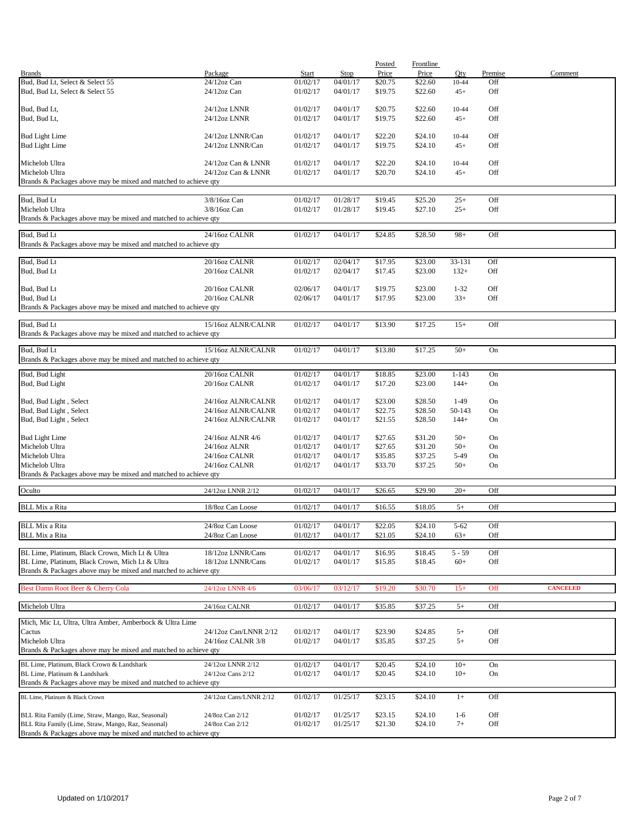|                                                                 |                        |              |             | Posted  | Frontline |           |         |                 |
|-----------------------------------------------------------------|------------------------|--------------|-------------|---------|-----------|-----------|---------|-----------------|
| <b>Brands</b>                                                   | Package                | <b>Start</b> | <b>Stop</b> | Price   | Price     | Qty       | Premise | Comment         |
| Bud, Bud Lt, Select & Select 55                                 | 24/12oz Can            | 01/02/17     | 04/01/17    | \$20.75 | \$22.60   | $10 - 44$ | Off     |                 |
| Bud, Bud Lt, Select & Select 55                                 | $24/12$ oz Can         | 01/02/17     | 04/01/17    | \$19.75 | \$22.60   | $45+$     | Off     |                 |
|                                                                 |                        |              |             |         |           |           |         |                 |
| Bud, Bud Lt,                                                    | 24/12oz LNNR           | 01/02/17     | 04/01/17    | \$20.75 | \$22.60   | 10-44     | Off     |                 |
| Bud, Bud Lt,                                                    | 24/12oz LNNR           | 01/02/17     | 04/01/17    | \$19.75 | \$22.60   | $45+$     | Off     |                 |
|                                                                 |                        |              |             |         |           |           |         |                 |
| <b>Bud Light Lime</b>                                           | 24/12oz LNNR/Can       | 01/02/17     | 04/01/17    | \$22.20 | \$24.10   | 10-44     | Off     |                 |
| <b>Bud Light Lime</b>                                           | 24/12oz LNNR/Can       | 01/02/17     | 04/01/17    | \$19.75 | \$24.10   | $45+$     | Off     |                 |
|                                                                 |                        |              |             |         |           |           |         |                 |
| Michelob Ultra                                                  | 24/12oz Can & LNNR     | 01/02/17     | 04/01/17    | \$22.20 | \$24.10   | 10-44     | Off     |                 |
| Michelob Ultra                                                  | 24/12oz Can & LNNR     | 01/02/17     | 04/01/17    | \$20.70 | \$24.10   | $45+$     | Off     |                 |
| Brands & Packages above may be mixed and matched to achieve qty |                        |              |             |         |           |           |         |                 |
|                                                                 |                        |              |             |         |           |           |         |                 |
| Bud, Bud Lt                                                     | 3/8/16oz Can           | 01/02/17     | 01/28/17    | \$19.45 | \$25.20   | $25+$     | Off     |                 |
| Michelob Ultra                                                  | 3/8/16oz Can           | 01/02/17     | 01/28/17    | \$19.45 | \$27.10   | $25+$     | Off     |                 |
| Brands & Packages above may be mixed and matched to achieve qty |                        |              |             |         |           |           |         |                 |
|                                                                 |                        |              |             |         |           |           |         |                 |
| Bud, Bud Lt                                                     | 24/16oz CALNR          | 01/02/17     | 04/01/17    | \$24.85 | \$28.50   | $98+$     | Off     |                 |
| Brands & Packages above may be mixed and matched to achieve qty |                        |              |             |         |           |           |         |                 |
|                                                                 |                        |              |             |         |           |           |         |                 |
| Bud, Bud Lt                                                     | 20/16oz CALNR          | 01/02/17     | 02/04/17    | \$17.95 | \$23.00   | 33-131    | Off     |                 |
| Bud, Bud Lt                                                     | 20/16oz CALNR          | 01/02/17     | 02/04/17    | \$17.45 | \$23.00   | $132+$    | Off     |                 |
|                                                                 |                        |              |             |         |           |           |         |                 |
| Bud, Bud Lt                                                     | 20/16oz CALNR          | 02/06/17     | 04/01/17    | \$19.75 | \$23.00   | $1 - 32$  | Off     |                 |
| Bud, Bud Lt                                                     | 20/16oz CALNR          | 02/06/17     | 04/01/17    | \$17.95 | \$23.00   | $33+$     | Off     |                 |
| Brands & Packages above may be mixed and matched to achieve qty |                        |              |             |         |           |           |         |                 |
|                                                                 |                        |              |             |         |           |           |         |                 |
| Bud, Bud Lt                                                     | 15/16oz ALNR/CALNR     | 01/02/17     | 04/01/17    | \$13.90 | \$17.25   | $15+$     | Off     |                 |
| Brands & Packages above may be mixed and matched to achieve qty |                        |              |             |         |           |           |         |                 |
|                                                                 |                        |              |             |         |           |           |         |                 |
| Bud, Bud Lt                                                     | 15/16oz ALNR/CALNR     | 01/02/17     | 04/01/17    | \$13.80 | \$17.25   | $50+$     | On      |                 |
| Brands & Packages above may be mixed and matched to achieve qty |                        |              |             |         |           |           |         |                 |
| Bud, Bud Light                                                  | 20/16oz CALNR          | 01/02/17     | 04/01/17    | \$18.85 | \$23.00   | $1 - 143$ | On      |                 |
| Bud, Bud Light                                                  | 20/16oz CALNR          | 01/02/17     | 04/01/17    | \$17.20 | \$23.00   | $144+$    | On      |                 |
|                                                                 |                        |              |             |         |           |           |         |                 |
|                                                                 | 24/16oz ALNR/CALNR     | 01/02/17     | 04/01/17    | \$23.00 |           | $1-49$    | On      |                 |
| Bud, Bud Light, Select                                          |                        |              |             |         | \$28.50   |           |         |                 |
| Bud, Bud Light, Select                                          | 24/16oz ALNR/CALNR     | 01/02/17     | 04/01/17    | \$22.75 | \$28.50   | 50-143    | On      |                 |
| Bud, Bud Light, Select                                          | 24/16oz ALNR/CALNR     | 01/02/17     | 04/01/17    | \$21.55 | \$28.50   | $144+$    | On      |                 |
|                                                                 |                        |              |             |         |           |           |         |                 |
| <b>Bud Light Lime</b>                                           | 24/16oz ALNR 4/6       | 01/02/17     | 04/01/17    | \$27.65 | \$31.20   | $50+$     | On      |                 |
| Michelob Ultra                                                  | 24/16oz ALNR           | 01/02/17     | 04/01/17    | \$27.65 | \$31.20   | $50+$     | On      |                 |
| Michelob Ultra                                                  | 24/16oz CALNR          | 01/02/17     | 04/01/17    | \$35.85 | \$37.25   | 5-49      | On      |                 |
| Michelob Ultra                                                  | 24/16oz CALNR          | 01/02/17     | 04/01/17    | \$33.70 | \$37.25   | $50+$     | On      |                 |
| Brands & Packages above may be mixed and matched to achieve qty |                        |              |             |         |           |           |         |                 |
|                                                                 |                        |              |             |         |           |           |         |                 |
| Oculto                                                          | 24/12oz LNNR 2/12      | 01/02/17     | 04/01/17    | \$26.65 | \$29.90   | $20+$     | Off     |                 |
| <b>BLL Mix a Rita</b>                                           | 18/8oz Can Loose       | 01/02/17     | 04/01/17    | \$16.55 | \$18.05   | $5+$      | Off     |                 |
|                                                                 |                        |              |             |         |           |           |         |                 |
|                                                                 |                        |              |             |         |           |           |         |                 |
| <b>BLL Mix a Rita</b>                                           | 24/8oz Can Loose       | 01/02/17     | 04/01/17    | \$22.05 | \$24.10   | $5 - 62$  | Off     |                 |
| <b>BLL Mix a Rita</b>                                           | 24/8oz Can Loose       | 01/02/17     | 04/01/17    | \$21.05 | \$24.10   | $63+$     | Off     |                 |
|                                                                 |                        |              |             |         |           |           |         |                 |
| BL Lime, Platinum, Black Crown, Mich Lt & Ultra                 | 18/12oz LNNR/Cans      | 01/02/17     | 04/01/17    | \$16.95 | \$18.45   | $5 - 59$  | Off     |                 |
| BL Lime, Platinum, Black Crown, Mich Lt & Ultra                 | 18/12oz LNNR/Cans      | 01/02/17     | 04/01/17    | \$15.85 | \$18.45   | $60+$     | Off     |                 |
| Brands & Packages above may be mixed and matched to achieve qty |                        |              |             |         |           |           |         |                 |
|                                                                 |                        |              |             |         |           |           |         |                 |
| Best Damn Root Beer & Cherry Cola                               | 24/12oz LNNR 4/6       | 03/06/17     | 03/12/17    | \$19.20 | \$30.70   | $15+$     | Off     | <b>CANCELED</b> |
|                                                                 |                        |              |             |         |           |           |         |                 |
| Michelob Ultra                                                  | 24/16oz CALNR          | 01/02/17     | 04/01/17    | \$35.85 | \$37.25   | $5+$      | Off     |                 |
| Mich, Mic Lt, Ultra, Ultra Amber, Amberbock & Ultra Lime        |                        |              |             |         |           |           |         |                 |
|                                                                 |                        |              |             |         |           |           |         |                 |
| Cactus<br>Michelob Ultra                                        | 24/12oz Can/LNNR 2/12  | 01/02/17     | 04/01/17    | \$23.90 | \$24.85   | $5+$      | Off     |                 |
|                                                                 | 24/16oz CALNR 3/8      | 01/02/17     | 04/01/17    | \$35.85 | \$37.25   | $5+$      | Off     |                 |
| Brands & Packages above may be mixed and matched to achieve qty |                        |              |             |         |           |           |         |                 |
| BL Lime, Platinum, Black Crown & Landshark                      | 24/12oz LNNR 2/12      | 01/02/17     | 04/01/17    | \$20.45 | \$24.10   | $10+$     | On      |                 |
| BL Lime, Platinum & Landshark                                   | 24/12oz Cans 2/12      | 01/02/17     | 04/01/17    | \$20.45 | \$24.10   | $10+$     | On      |                 |
| Brands & Packages above may be mixed and matched to achieve qty |                        |              |             |         |           |           |         |                 |
|                                                                 |                        |              |             |         |           |           |         |                 |
| BL Lime, Platinum & Black Crown                                 | 24/12oz Cans/LNNR 2/12 | 01/02/17     | 01/25/17    | \$23.15 | \$24.10   | $1+$      | Off     |                 |
|                                                                 |                        |              |             |         |           |           |         |                 |
| BLL Rita Family (Lime, Straw, Mango, Raz, Seasonal)             | 24/8oz Can 2/12        | 01/02/17     | 01/25/17    | \$23.15 | \$24.10   | $1-6$     | Off     |                 |
| BLL Rita Family (Lime, Straw, Mango, Raz, Seasonal)             | 24/8oz Can 2/12        | 01/02/17     | 01/25/17    | \$21.30 | \$24.10   | $7+$      | Off     |                 |
| Brands & Packages above may be mixed and matched to achieve qty |                        |              |             |         |           |           |         |                 |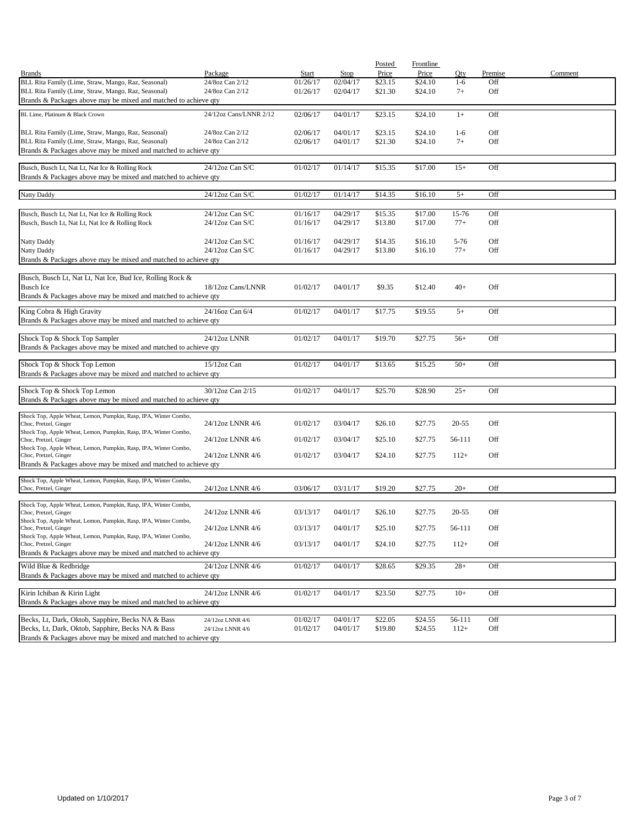|                                                                                           |                        |          |          | Posted  | Frontline |           |         |         |
|-------------------------------------------------------------------------------------------|------------------------|----------|----------|---------|-----------|-----------|---------|---------|
| <b>Brands</b>                                                                             | Package                | Start    | Stop     | Price   | Price     | Oty       | Premise | Comment |
| BLL Rita Family (Lime, Straw, Mango, Raz, Seasonal)                                       | 24/8oz Can 2/12        | 01/26/17 | 02/04/17 | \$23.15 | \$24.10   | $1 - 6$   | Off     |         |
| BLL Rita Family (Lime, Straw, Mango, Raz, Seasonal)                                       | 24/8oz Can 2/12        | 01/26/17 | 02/04/17 | \$21.30 | \$24.10   | $7+$      | Off     |         |
| Brands & Packages above may be mixed and matched to achieve qty                           |                        |          |          |         |           |           |         |         |
| BL Lime, Platinum & Black Crown                                                           | 24/12oz Cans/LNNR 2/12 | 02/06/17 | 04/01/17 | \$23.15 | \$24.10   | $1+$      | Off     |         |
|                                                                                           |                        |          |          |         |           |           |         |         |
| BLL Rita Family (Lime, Straw, Mango, Raz, Seasonal)                                       | 24/8oz Can 2/12        | 02/06/17 | 04/01/17 | \$23.15 | \$24.10   | $1-6$     | Off     |         |
| BLL Rita Family (Lime, Straw, Mango, Raz, Seasonal)                                       | 24/8oz Can 2/12        | 02/06/17 | 04/01/17 | \$21.30 | \$24.10   | $7+$      | Off     |         |
| Brands & Packages above may be mixed and matched to achieve qty                           |                        |          |          |         |           |           |         |         |
| Busch, Busch Lt, Nat Lt, Nat Ice & Rolling Rock                                           | 24/12oz Can S/C        | 01/02/17 | 01/14/17 | \$15.35 | \$17.00   | $15+$     | Off     |         |
| Brands & Packages above may be mixed and matched to achieve qty                           |                        |          |          |         |           |           |         |         |
|                                                                                           |                        |          |          |         |           |           |         |         |
| Natty Daddy                                                                               | 24/12oz Can S/C        | 01/02/17 | 01/14/17 | \$14.35 | \$16.10   | $5+$      | Off     |         |
|                                                                                           |                        |          |          |         |           |           |         |         |
| Busch, Busch Lt, Nat Lt, Nat Ice & Rolling Rock                                           | 24/12oz Can S/C        | 01/16/17 | 04/29/17 | \$15.35 | \$17.00   | 15-76     | Off     |         |
| Busch, Busch Lt, Nat Lt, Nat Ice & Rolling Rock                                           | $24/12$ oz Can S/C     | 01/16/17 | 04/29/17 | \$13.80 | \$17.00   | $77+$     | Off     |         |
|                                                                                           |                        |          |          |         |           |           |         |         |
| Natty Daddy                                                                               | $24/12$ oz Can S/C     | 01/16/17 | 04/29/17 | \$14.35 | \$16.10   | $5 - 76$  | Off     |         |
| Natty Daddy                                                                               | $24/12$ oz Can S/C     | 01/16/17 | 04/29/17 | \$13.80 | \$16.10   | $77+$     | Off     |         |
| Brands & Packages above may be mixed and matched to achieve qty                           |                        |          |          |         |           |           |         |         |
| Busch, Busch Lt, Nat Lt, Nat Ice, Bud Ice, Rolling Rock &                                 |                        |          |          |         |           |           |         |         |
| <b>Busch Ice</b>                                                                          | 18/12oz Cans/LNNR      | 01/02/17 | 04/01/17 | \$9.35  | \$12.40   | $40+$     | Off     |         |
| Brands & Packages above may be mixed and matched to achieve qty                           |                        |          |          |         |           |           |         |         |
|                                                                                           |                        |          |          |         |           |           |         |         |
| King Cobra & High Gravity                                                                 | 24/16oz Can 6/4        | 01/02/17 | 04/01/17 | \$17.75 | \$19.55   | $5+$      | Off     |         |
| Brands & Packages above may be mixed and matched to achieve qty                           |                        |          |          |         |           |           |         |         |
| Shock Top & Shock Top Sampler                                                             | 24/12oz LNNR           | 01/02/17 | 04/01/17 | \$19.70 | \$27.75   | $56+$     | Off     |         |
| Brands & Packages above may be mixed and matched to achieve qty                           |                        |          |          |         |           |           |         |         |
|                                                                                           |                        |          |          |         |           |           |         |         |
| Shock Top & Shock Top Lemon                                                               | $15/12$ oz Can         | 01/02/17 | 04/01/17 | \$13.65 | \$15.25   | $50+$     | Off     |         |
| Brands & Packages above may be mixed and matched to achieve qty                           |                        |          |          |         |           |           |         |         |
| Shock Top & Shock Top Lemon                                                               | 30/12oz Can 2/15       | 01/02/17 | 04/01/17 | \$25.70 | \$28.90   | $25+$     | Off     |         |
| Brands & Packages above may be mixed and matched to achieve qty                           |                        |          |          |         |           |           |         |         |
|                                                                                           |                        |          |          |         |           |           |         |         |
| Shock Top, Apple Wheat, Lemon, Pumpkin, Rasp, IPA, Winter Combo,                          |                        |          |          |         |           |           |         |         |
| Choc, Pretzel, Ginger                                                                     | 24/12oz LNNR 4/6       | 01/02/17 | 03/04/17 | \$26.10 | \$27.75   | $20 - 55$ | Off     |         |
| Shock Top, Apple Wheat, Lemon, Pumpkin, Rasp, IPA, Winter Combo,<br>Choc, Pretzel, Ginger | 24/12oz LNNR 4/6       | 01/02/17 | 03/04/17 | \$25.10 | \$27.75   | 56-111    | Off     |         |
| Shock Top, Apple Wheat, Lemon, Pumpkin, Rasp, IPA, Winter Combo,                          |                        |          |          |         |           |           |         |         |
| Choc, Pretzel, Ginger                                                                     | 24/12oz LNNR 4/6       | 01/02/17 | 03/04/17 | \$24.10 | \$27.75   | $112+$    | Off     |         |
| Brands & Packages above may be mixed and matched to achieve qty                           |                        |          |          |         |           |           |         |         |
| Shock Top, Apple Wheat, Lemon, Pumpkin, Rasp, IPA, Winter Combo,                          |                        |          |          |         |           |           |         |         |
| Choc, Pretzel, Ginger                                                                     | 24/12oz LNNR 4/6       | 03/06/17 | 03/11/17 | \$19.20 | \$27.75   | $20+$     | Off     |         |
|                                                                                           |                        |          |          |         |           |           |         |         |
| Shock Top, Apple Wheat, Lemon, Pumpkin, Rasp, IPA, Winter Combo,<br>Choc, Pretzel, Ginger |                        |          |          |         |           | $20 - 55$ | Off     |         |
| Shock Top, Apple Wheat, Lemon, Pumpkin, Rasp, IPA, Winter Combo,                          | 24/12oz LNNR 4/6       | 03/13/17 | 04/01/17 | \$26.10 | \$27.75   |           |         |         |
| Choc, Pretzel, Ginger                                                                     | 24/12oz LNNR 4/6       | 03/13/17 | 04/01/17 | \$25.10 | \$27.75   | 56-111    | Off     |         |
| Shock Top, Apple Wheat, Lemon, Pumpkin, Rasp, IPA, Winter Combo,                          |                        |          |          |         |           |           |         |         |
| Choc, Pretzel, Ginger                                                                     | 24/12oz LNNR 4/6       | 03/13/17 | 04/01/17 | \$24.10 | \$27.75   | $112+$    | Off     |         |
| Brands & Packages above may be mixed and matched to achieve qty                           |                        |          |          |         |           |           |         |         |
| Wild Blue & Redbridge                                                                     | 24/12oz LNNR 4/6       | 01/02/17 | 04/01/17 | \$28.65 | \$29.35   | $28+$     | Off     |         |
| Brands & Packages above may be mixed and matched to achieve qty                           |                        |          |          |         |           |           |         |         |
| Kirin Ichiban & Kirin Light                                                               | 24/12oz LNNR 4/6       |          |          |         |           |           |         |         |
| Brands & Packages above may be mixed and matched to achieve qty                           |                        | 01/02/17 | 04/01/17 | \$23.50 | \$27.75   | $10+$     | Off     |         |
|                                                                                           |                        |          |          |         |           |           |         |         |
| Becks, Lt, Dark, Oktob, Sapphire, Becks NA & Bass                                         | 24/12oz LNNR 4/6       | 01/02/17 | 04/01/17 | \$22.05 | \$24.55   | 56-111    | Off     |         |
| Becks, Lt, Dark, Oktob, Sapphire, Becks NA & Bass                                         | 24/12oz LNNR 4/6       | 01/02/17 | 04/01/17 | \$19.80 | \$24.55   | $112+$    | Off     |         |
| Brands & Packages above may be mixed and matched to achieve qty                           |                        |          |          |         |           |           |         |         |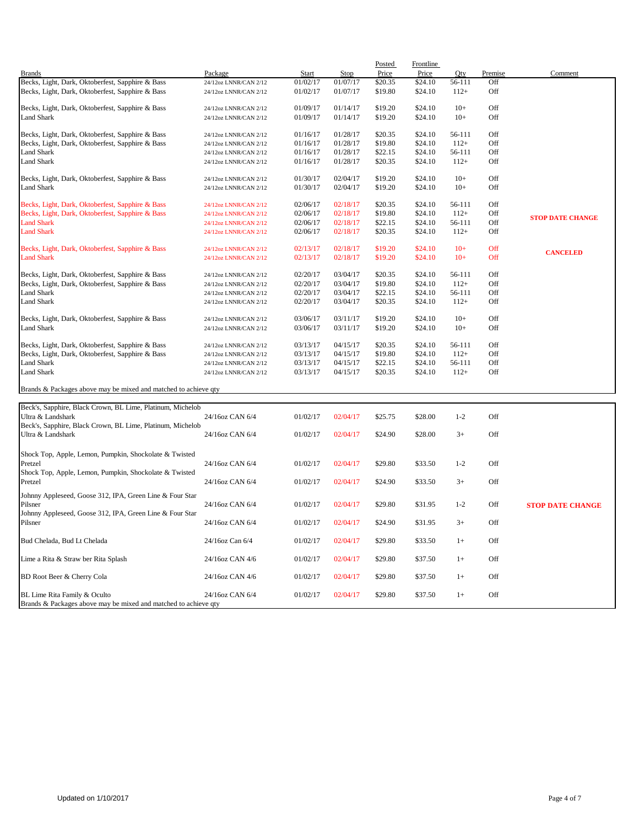|                                                                 |                       |          |          | Posted  | Frontline |         |            |                         |
|-----------------------------------------------------------------|-----------------------|----------|----------|---------|-----------|---------|------------|-------------------------|
| <b>Brands</b>                                                   | Package               | Start    | Stop     | Price   | Price     | Oty     | Premise    | Comment                 |
| Becks, Light, Dark, Oktoberfest, Sapphire & Bass                | 24/12oz LNNR/CAN 2/12 | 01/02/17 | 01/07/17 | \$20.35 | \$24.10   | 56-111  | Off        |                         |
| Becks, Light, Dark, Oktoberfest, Sapphire & Bass                | 24/12oz LNNR/CAN 2/12 | 01/02/17 | 01/07/17 | \$19.80 | \$24.10   | $112+$  | Off        |                         |
| Becks, Light, Dark, Oktoberfest, Sapphire & Bass                | 24/12oz LNNR/CAN 2/12 | 01/09/17 | 01/14/17 | \$19.20 | \$24.10   | $10+$   | Off        |                         |
| <b>Land Shark</b>                                               | 24/12oz LNNR/CAN 2/12 | 01/09/17 | 01/14/17 | \$19.20 | \$24.10   | $10+$   | Off        |                         |
| Becks, Light, Dark, Oktoberfest, Sapphire & Bass                | 24/12oz LNNR/CAN 2/12 | 01/16/17 | 01/28/17 | \$20.35 | \$24.10   | 56-111  | Off        |                         |
| Becks, Light, Dark, Oktoberfest, Sapphire & Bass                | 24/12oz LNNR/CAN 2/12 | 01/16/17 | 01/28/17 | \$19.80 | \$24.10   | $112+$  | Off        |                         |
| <b>Land Shark</b>                                               | 24/12oz LNNR/CAN 2/12 | 01/16/17 | 01/28/17 | \$22.15 | \$24.10   | 56-111  | Off        |                         |
| <b>Land Shark</b>                                               | 24/12oz LNNR/CAN 2/12 | 01/16/17 | 01/28/17 | \$20.35 | \$24.10   | $112+$  | Off        |                         |
| Becks, Light, Dark, Oktoberfest, Sapphire & Bass                | 24/12oz LNNR/CAN 2/12 | 01/30/17 | 02/04/17 | \$19.20 | \$24.10   | $10+$   | Off        |                         |
| Land Shark                                                      | 24/12oz LNNR/CAN 2/12 | 01/30/17 | 02/04/17 | \$19.20 | \$24.10   | $10+$   | Off        |                         |
| Becks, Light, Dark, Oktoberfest, Sapphire & Bass                | 24/12oz LNNR/CAN 2/12 | 02/06/17 | 02/18/17 | \$20.35 | \$24.10   | 56-111  | Off        |                         |
| Becks, Light, Dark, Oktoberfest, Sapphire & Bass                | 24/12oz LNNR/CAN 2/12 | 02/06/17 | 02/18/17 | \$19.80 | \$24.10   | $112+$  | Off        | <b>STOP DATE CHANGE</b> |
| <b>Land Shark</b>                                               | 24/12oz LNNR/CAN 2/12 | 02/06/17 | 02/18/17 | \$22.15 | \$24.10   | 56-111  | Off        |                         |
| <b>Land Shark</b>                                               | 24/12oz LNNR/CAN 2/12 | 02/06/17 | 02/18/17 | \$20.35 | \$24.10   | $112+$  | Off        |                         |
| Becks, Light, Dark, Oktoberfest, Sapphire & Bass                | 24/12oz LNNR/CAN 2/12 | 02/13/17 | 02/18/17 | \$19.20 | \$24.10   | $10+$   | Off        | <b>CANCELED</b>         |
| <b>Land Shark</b>                                               | 24/12oz LNNR/CAN 2/12 | 02/13/17 | 02/18/17 | \$19.20 | \$24.10   | $10+$   | <b>Off</b> |                         |
| Becks, Light, Dark, Oktoberfest, Sapphire & Bass                | 24/12oz LNNR/CAN 2/12 | 02/20/17 | 03/04/17 | \$20.35 | \$24.10   | 56-111  | Off        |                         |
| Becks, Light, Dark, Oktoberfest, Sapphire & Bass                | 24/12oz LNNR/CAN 2/12 | 02/20/17 | 03/04/17 | \$19.80 | \$24.10   | $112+$  | Off        |                         |
| <b>Land Shark</b>                                               | 24/12oz LNNR/CAN 2/12 | 02/20/17 | 03/04/17 | \$22.15 | \$24.10   | 56-111  | Off        |                         |
| Land Shark                                                      | 24/12oz LNNR/CAN 2/12 | 02/20/17 | 03/04/17 | \$20.35 | \$24.10   | $112+$  | Off        |                         |
| Becks, Light, Dark, Oktoberfest, Sapphire & Bass                | 24/12oz LNNR/CAN 2/12 | 03/06/17 | 03/11/17 | \$19.20 | \$24.10   | $10+$   | Off        |                         |
| <b>Land Shark</b>                                               | 24/12oz LNNR/CAN 2/12 | 03/06/17 | 03/11/17 | \$19.20 | \$24.10   | $10+$   | Off        |                         |
| Becks, Light, Dark, Oktoberfest, Sapphire & Bass                | 24/12oz LNNR/CAN 2/12 | 03/13/17 | 04/15/17 | \$20.35 | \$24.10   | 56-111  | Off        |                         |
| Becks, Light, Dark, Oktoberfest, Sapphire & Bass                | 24/12oz LNNR/CAN 2/12 | 03/13/17 | 04/15/17 | \$19.80 | \$24.10   | $112+$  | Off        |                         |
| <b>Land Shark</b>                                               | 24/12oz LNNR/CAN 2/12 | 03/13/17 | 04/15/17 | \$22.15 | \$24.10   | 56-111  | Off        |                         |
| Land Shark                                                      | 24/12oz LNNR/CAN 2/12 | 03/13/17 | 04/15/17 | \$20.35 | \$24.10   | $112+$  | Off        |                         |
| Brands & Packages above may be mixed and matched to achieve qty |                       |          |          |         |           |         |            |                         |
|                                                                 |                       |          |          |         |           |         |            |                         |
| Beck's, Sapphire, Black Crown, BL Lime, Platinum, Michelob      |                       |          |          |         |           |         |            |                         |
| Ultra & Landshark                                               | 24/16oz CAN 6/4       | 01/02/17 | 02/04/17 | \$25.75 | \$28.00   | $1 - 2$ | Off        |                         |
| Beck's, Sapphire, Black Crown, BL Lime, Platinum, Michelob      |                       |          |          |         |           |         |            |                         |
| Ultra & Landshark                                               | 24/16oz CAN 6/4       | 01/02/17 | 02/04/17 | \$24.90 | \$28.00   | $3+$    | Off        |                         |
| Shock Top, Apple, Lemon, Pumpkin, Shockolate & Twisted          |                       |          |          |         |           |         |            |                         |
| Pretzel                                                         | 24/16oz CAN 6/4       | 01/02/17 | 02/04/17 | \$29.80 | \$33.50   | $1 - 2$ | Off        |                         |
| Shock Top, Apple, Lemon, Pumpkin, Shockolate & Twisted          |                       |          |          |         |           |         |            |                         |
| Pretzel                                                         | 24/16oz CAN 6/4       | 01/02/17 | 02/04/17 | \$24.90 | \$33.50   | $3+$    | Off        |                         |

24/16oz CAN 6/4 01/02/17 02/04/17 \$29.80 \$31.95 1-2 Off

Pilsner 24/16oz CAN 6/4 01/02/17 02/04/17 \$24.90 \$31.95 3+ Off Bud Chelada, Bud Lt Chelada 24/16oz Can 6/4 01/02/17 02/04/17 \$29.80 \$33.50 1+ Off Lime a Rita & Straw ber Rita Splash 24/16oz CAN 4/6 01/02/17 02/04/17 \$29.80 \$37.50 1+ Off BD Root Beer & Cherry Cola 24/16oz CAN 4/6 01/02/17 02/04/17 \$29.80 \$37.50 1+ Off BL Lime Rita Family & Oculto 24/16oz CAN 6/4 01/02/17 02/04/17 \$29.80 \$37.50 1+ Off

Johnny Appleseed, Goose 312, IPA, Green Line & Four Star

Johnny Appleseed, Goose 312, IPA, Green Line & Four Star

Brands & Packages above may be mixed and matched to achieve qty

**STOP DATE CHANGE**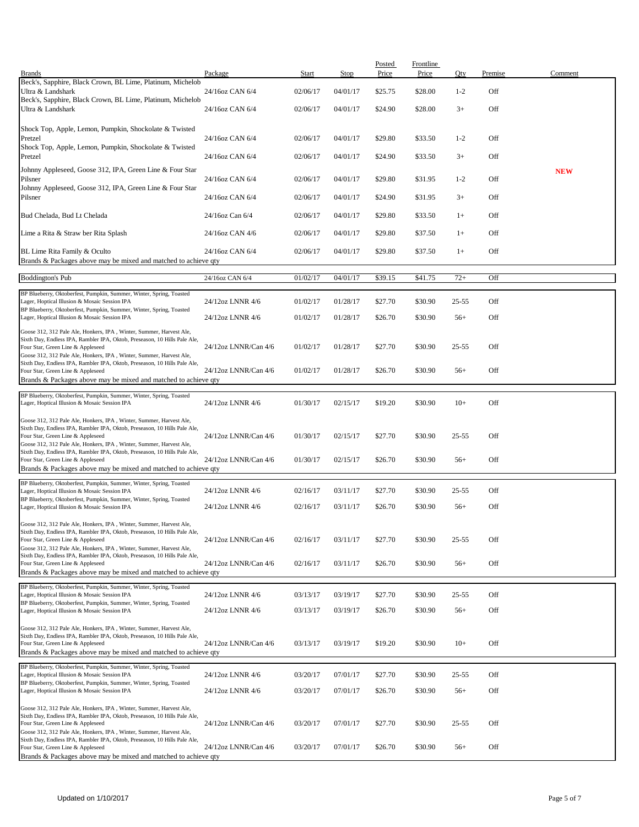|                                                                                                                                                                                       |                      |          |          | Posted  | <b>Frontline</b> |           |         |            |
|---------------------------------------------------------------------------------------------------------------------------------------------------------------------------------------|----------------------|----------|----------|---------|------------------|-----------|---------|------------|
| <b>Brands</b>                                                                                                                                                                         | Package              | Start    | Stop     | Price   | Price            | Qty       | Premise | Comment    |
| Beck's, Sapphire, Black Crown, BL Lime, Platinum, Michelob<br>Ultra & Landshark                                                                                                       | 24/16oz CAN 6/4      | 02/06/17 | 04/01/17 | \$25.75 | \$28.00          | $1 - 2$   | Off     |            |
| Beck's, Sapphire, Black Crown, BL Lime, Platinum, Michelob<br>Ultra & Landshark                                                                                                       | 24/16oz CAN 6/4      | 02/06/17 | 04/01/17 | \$24.90 | \$28.00          | $3+$      | Off     |            |
| Shock Top, Apple, Lemon, Pumpkin, Shockolate & Twisted<br>Pretzel                                                                                                                     | 24/16oz CAN 6/4      | 02/06/17 | 04/01/17 | \$29.80 | \$33.50          | $1 - 2$   | Off     |            |
| Shock Top, Apple, Lemon, Pumpkin, Shockolate & Twisted<br>Pretzel                                                                                                                     | 24/16oz CAN 6/4      | 02/06/17 | 04/01/17 | \$24.90 | \$33.50          | $3+$      | Off     |            |
| Johnny Appleseed, Goose 312, IPA, Green Line & Four Star                                                                                                                              |                      |          |          |         |                  |           |         | <b>NEW</b> |
| Pilsner<br>Johnny Appleseed, Goose 312, IPA, Green Line & Four Star                                                                                                                   | 24/16oz CAN 6/4      | 02/06/17 | 04/01/17 | \$29.80 | \$31.95          | $1 - 2$   | Off     |            |
| Pilsner                                                                                                                                                                               | 24/16oz CAN 6/4      | 02/06/17 | 04/01/17 | \$24.90 | \$31.95          | $3+$      | Off     |            |
| Bud Chelada, Bud Lt Chelada                                                                                                                                                           | 24/16oz Can 6/4      | 02/06/17 | 04/01/17 | \$29.80 | \$33.50          | $1+$      | Off     |            |
| Lime a Rita & Straw ber Rita Splash                                                                                                                                                   | 24/16oz CAN 4/6      | 02/06/17 | 04/01/17 | \$29.80 | \$37.50          | $1+$      | Off     |            |
| BL Lime Rita Family & Oculto<br>Brands & Packages above may be mixed and matched to achieve qty                                                                                       | 24/16oz CAN 6/4      | 02/06/17 | 04/01/17 | \$29.80 | \$37.50          | $1+$      | Off     |            |
| <b>Boddington's Pub</b>                                                                                                                                                               | 24/16oz CAN 6/4      | 01/02/17 | 04/01/17 | \$39.15 | \$41.75          | $72+$     | Off     |            |
| BP Blueberry, Oktoberfest, Pumpkin, Summer, Winter, Spring, Toasted<br>Lager, Hoptical Illusion & Mosaic Session IPA                                                                  | 24/12oz LNNR 4/6     | 01/02/17 | 01/28/17 | \$27.70 | \$30.90          | $25 - 55$ | Off     |            |
| BP Blueberry, Oktoberfest, Pumpkin, Summer, Winter, Spring, Toasted<br>Lager, Hoptical Illusion & Mosaic Session IPA                                                                  | 24/12oz LNNR 4/6     | 01/02/17 | 01/28/17 | \$26.70 | \$30.90          | $56+$     | Off     |            |
| Goose 312, 312 Pale Ale, Honkers, IPA, Winter, Summer, Harvest Ale,<br>Sixth Day, Endless IPA, Rambler IPA, Oktob, Preseason, 10 Hills Pale Ale,                                      |                      |          |          |         |                  |           |         |            |
| Four Star, Green Line & Appleseed<br>Goose 312, 312 Pale Ale, Honkers, IPA, Winter, Summer, Harvest Ale,                                                                              | 24/12oz LNNR/Can 4/6 | 01/02/17 | 01/28/17 | \$27.70 | \$30.90          | $25 - 55$ | Off     |            |
| Sixth Day, Endless IPA, Rambler IPA, Oktob, Preseason, 10 Hills Pale Ale,<br>Four Star, Green Line & Appleseed                                                                        | 24/12oz LNNR/Can 4/6 | 01/02/17 | 01/28/17 | \$26.70 | \$30.90          | $56+$     | Off     |            |
| Brands & Packages above may be mixed and matched to achieve qty                                                                                                                       |                      |          |          |         |                  |           |         |            |
| BP Blueberry, Oktoberfest, Pumpkin, Summer, Winter, Spring, Toasted<br>Lager, Hoptical Illusion & Mosaic Session IPA                                                                  | 24/12oz LNNR 4/6     | 01/30/17 | 02/15/17 | \$19.20 | \$30.90          | $10+$     | Off     |            |
| Goose 312, 312 Pale Ale, Honkers, IPA, Winter, Summer, Harvest Ale,<br>Sixth Day, Endless IPA, Rambler IPA, Oktob, Preseason, 10 Hills Pale Ale,                                      |                      |          |          |         |                  |           |         |            |
| Four Star, Green Line & Appleseed<br>Goose 312, 312 Pale Ale, Honkers, IPA, Winter, Summer, Harvest Ale,                                                                              | 24/12oz LNNR/Can 4/6 | 01/30/17 | 02/15/17 | \$27.70 | \$30.90          | $25 - 55$ | Off     |            |
| Sixth Day, Endless IPA, Rambler IPA, Oktob, Preseason, 10 Hills Pale Ale,<br>Four Star, Green Line & Appleseed                                                                        | 24/12oz LNNR/Can 4/6 | 01/30/17 | 02/15/17 | \$26.70 | \$30.90          | $56+$     | Off     |            |
| Brands & Packages above may be mixed and matched to achieve qty                                                                                                                       |                      |          |          |         |                  |           |         |            |
| BP Blueberry, Oktoberfest, Pumpkin, Summer, Winter, Spring, Toasted<br>Lager, Hoptical Illusion & Mosaic Session IPA                                                                  | 24/12oz LNNR 4/6     | 02/16/17 | 03/11/17 | \$27.70 | \$30.90          | 25-55     | Off     |            |
| BP Blueberry, Oktoberfest, Pumpkin, Summer, Winter, Spring, Toasted<br>Lager, Hoptical Illusion & Mosaic Session IPA                                                                  | 24/12oz LNNR 4/6     | 02/16/17 | 03/11/17 | \$26.70 | \$30.90          | $56+$     | Off     |            |
| Goose 312, 312 Pale Ale, Honkers, IPA, Winter, Summer, Harvest Ale,                                                                                                                   |                      |          |          |         |                  |           |         |            |
| Sixth Day, Endless IPA, Rambler IPA, Oktob, Preseason, 10 Hills Pale Ale,<br>Four Star, Green Line & Appleseed<br>Goose 312, 312 Pale Ale, Honkers, IPA, Winter, Summer, Harvest Ale, | 24/12oz LNNR/Can 4/6 | 02/16/17 | 03/11/17 | \$27.70 | \$30.90          | $25 - 55$ | Off     |            |
| Sixth Day, Endless IPA, Rambler IPA, Oktob, Preseason, 10 Hills Pale Ale,<br>Four Star, Green Line & Appleseed                                                                        | 24/12oz LNNR/Can 4/6 | 02/16/17 | 03/11/17 | \$26.70 | \$30.90          | $56+$     | Off     |            |
| Brands & Packages above may be mixed and matched to achieve qty                                                                                                                       |                      |          |          |         |                  |           |         |            |
| BP Blueberry, Oktoberfest, Pumpkin, Summer, Winter, Spring, Toasted<br>Lager, Hoptical Illusion & Mosaic Session IPA                                                                  | 24/12oz LNNR 4/6     | 03/13/17 | 03/19/17 | \$27.70 | \$30.90          | $25 - 55$ | Off     |            |
| BP Blueberry, Oktoberfest, Pumpkin, Summer, Winter, Spring, Toasted<br>Lager, Hoptical Illusion & Mosaic Session IPA                                                                  | 24/12oz LNNR 4/6     | 03/13/17 | 03/19/17 | \$26.70 | \$30.90          | $56+$     | Off     |            |
| Goose 312, 312 Pale Ale, Honkers, IPA, Winter, Summer, Harvest Ale,                                                                                                                   |                      |          |          |         |                  |           |         |            |
| Sixth Day, Endless IPA, Rambler IPA, Oktob, Preseason, 10 Hills Pale Ale,<br>Four Star, Green Line & Appleseed<br>Brands & Packages above may be mixed and matched to achieve qty     | 24/12oz LNNR/Can 4/6 | 03/13/17 | 03/19/17 | \$19.20 | \$30.90          | $10+$     | Off     |            |
|                                                                                                                                                                                       |                      |          |          |         |                  |           |         |            |
| BP Blueberry, Oktoberfest, Pumpkin, Summer, Winter, Spring, Toasted<br>Lager, Hoptical Illusion & Mosaic Session IPA                                                                  | 24/12oz LNNR 4/6     | 03/20/17 | 07/01/17 | \$27.70 | \$30.90          | $25 - 55$ | Off     |            |
| BP Blueberry, Oktoberfest, Pumpkin, Summer, Winter, Spring, Toasted<br>Lager, Hoptical Illusion & Mosaic Session IPA                                                                  | 24/12oz LNNR 4/6     | 03/20/17 | 07/01/17 | \$26.70 | \$30.90          | $56+$     | Off     |            |
| Goose 312, 312 Pale Ale, Honkers, IPA, Winter, Summer, Harvest Ale,<br>Sixth Day, Endless IPA, Rambler IPA, Oktob, Preseason, 10 Hills Pale Ale,                                      |                      |          |          |         |                  |           |         |            |
| Four Star, Green Line & Appleseed<br>Goose 312, 312 Pale Ale, Honkers, IPA, Winter, Summer, Harvest Ale,                                                                              | 24/12oz LNNR/Can 4/6 | 03/20/17 | 07/01/17 | \$27.70 | \$30.90          | $25 - 55$ | Off     |            |
| Sixth Day, Endless IPA, Rambler IPA, Oktob, Preseason, 10 Hills Pale Ale,<br>Four Star, Green Line & Appleseed                                                                        | 24/12oz LNNR/Can 4/6 | 03/20/17 | 07/01/17 | \$26.70 | \$30.90          | $56+$     | Off     |            |
| Brands & Packages above may be mixed and matched to achieve qty                                                                                                                       |                      |          |          |         |                  |           |         |            |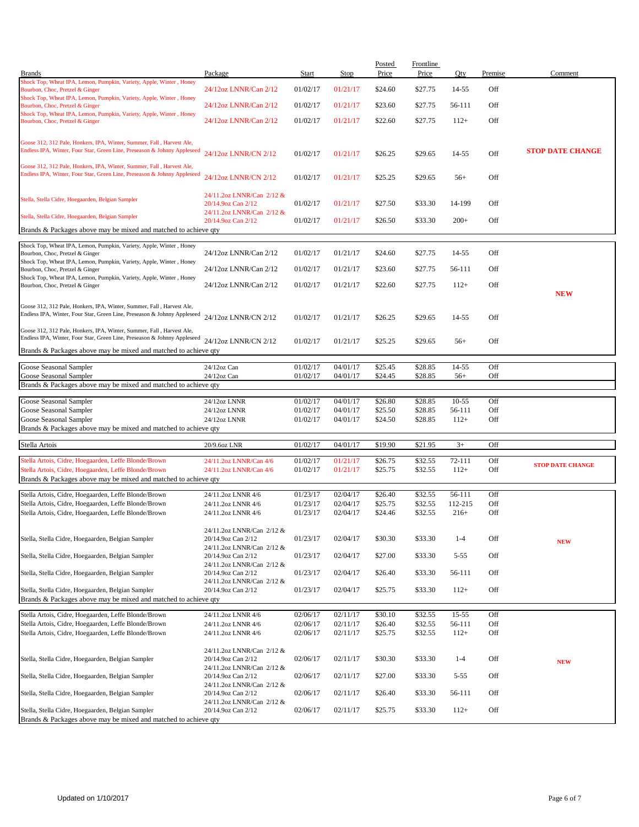| Shock Top, Wheat IPA, Lemon, Pumpkin, Variety, Apple, Winter, Honey<br>Off<br>24/12oz LNNR/Can 2/12<br>01/02/17<br>01/21/17<br>\$24.60<br>\$27.75<br>14-55<br>Bourbon, Choc, Pretzel & Ginger<br>Shock Top, Wheat IPA, Lemon, Pumpkin, Variety, Apple, Winter, Honey<br>24/12oz LNNR/Can 2/12<br>01/02/17<br>01/21/17<br>\$23.60<br>\$27.75<br>56-111<br>Off<br>Bourbon, Choc, Pretzel & Ginger<br>Shock Top, Wheat IPA, Lemon, Pumpkin, Variety, Apple, Winter, Honey<br>24/12oz LNNR/Can 2/12<br>01/02/17<br>01/21/17<br>\$22.60<br>\$27.75<br>$112+$<br>Off<br>Bourbon, Choc, Pretzel & Ginger<br>Goose 312, 312 Pale, Honkers, IPA, Winter, Summer, Fall, Harvest Ale,<br>Endless IPA, Winter, Four Star, Green Line, Preseason & Johnny Appleseed<br><b>STOP DATE CHANGE</b><br>24/12oz LNNR/CN 2/12<br>01/02/17<br>01/21/17<br>\$26.25<br>\$29.65<br>14-55<br>Off<br>Goose 312, 312 Pale, Honkers, IPA, Winter, Summer, Fall, Harvest Ale,<br>Endless IPA, Winter, Four Star, Green Line, Preseason & Johnny Appleseed<br>24/12oz LNNR/CN 2/12<br>01/02/17<br>Off<br>01/21/17<br>\$25.25<br>\$29.65<br>$56+$<br>24/11.2oz LNNR/Can 2/12 &<br>Stella, Stella Cidre, Hoegaarden, Belgian Sampler<br>Off<br>01/02/17<br>01/21/17<br>\$27.50<br>\$33.30<br>14-199<br>20/14.9oz Can 2/12<br>24/11.2oz LNNR/Can 2/12 &<br>Stella, Stella Cidre, Hoegaarden, Belgian Sampler<br>Off<br>20/14.9oz Can 2/12<br>01/02/17<br>01/21/17<br>\$26.50<br>\$33.30<br>$200+$<br>Brands & Packages above may be mixed and matched to achieve qty<br>Shock Top, Wheat IPA, Lemon, Pumpkin, Variety, Apple, Winter, Honey<br>Off<br>24/12oz LNNR/Can 2/12<br>01/02/17<br>01/21/17<br>\$24.60<br>\$27.75<br>14-55<br>Bourbon, Choc, Pretzel & Ginger<br>Shock Top, Wheat IPA, Lemon, Pumpkin, Variety, Apple, Winter, Honey<br>01/02/17<br>24/12oz LNNR/Can 2/12<br>01/21/17<br>\$23.60<br>\$27.75<br>56-111<br>Off<br>Bourbon, Choc, Pretzel & Ginger<br>Shock Top, Wheat IPA, Lemon, Pumpkin, Variety, Apple, Winter, Honey<br>24/12oz LNNR/Can 2/12<br>01/02/17<br>01/21/17<br>\$22.60<br>\$27.75<br>$112+$<br>Off<br>Bourbon, Choc, Pretzel & Ginger<br><b>NEW</b><br>Goose 312, 312 Pale, Honkers, IPA, Winter, Summer, Fall, Harvest Ale,<br>Endless IPA, Winter, Four Star, Green Line, Preseason & Johnny Appleseed<br>24/12oz LNNR/CN 2/12<br>01/02/17<br>Off<br>01/21/17<br>\$26.25<br>\$29.65<br>14-55<br>Goose 312, 312 Pale, Honkers, IPA, Winter, Summer, Fall, Harvest Ale,<br>Endless IPA, Winter, Four Star, Green Line, Preseason & Johnny Appleseed<br>24/12oz LNNR/CN 2/12<br>01/02/17<br>01/21/17<br>\$25.25<br>\$29.65<br>$56+$<br>Off<br>Brands & Packages above may be mixed and matched to achieve qty<br>01/02/17<br>04/01/17<br>\$25.45<br>\$28.85<br>14-55<br>Off<br>Goose Seasonal Sampler<br>$24/12$ oz Can<br>01/02/17<br>Goose Seasonal Sampler<br>$24/12$ oz Can<br>04/01/17<br>\$24.45<br>\$28.85<br>$56+$<br>Off<br>Brands & Packages above may be mixed and matched to achieve qty<br>Goose Seasonal Sampler<br>01/02/17<br>04/01/17<br>\$26.80<br>\$28.85<br>$10 - 55$<br>Off<br>24/12oz LNNR<br>Goose Seasonal Sampler<br>24/12oz LNNR<br>01/02/17<br>04/01/17<br>\$25.50<br>\$28.85<br>56-111<br>Off<br>Goose Seasonal Sampler<br>01/02/17<br>04/01/17<br>\$24.50<br>\$28.85<br>$112+$<br>Off<br>24/12oz LNNR<br>Brands & Packages above may be mixed and matched to achieve qty<br>Stella Artois<br>01/02/17<br>04/01/17<br>\$19.90<br>\$21.95<br>$3+$<br>Off<br>20/9.6oz LNR<br>01/02/17<br>\$32.55<br>Off<br>Stella Artois, Cidre, Hoegaarden, Leffe Blonde/Brown<br>24/11.2oz LNNR/Can 4/6<br>01/21/17<br>\$26.75<br>72-111<br><b>STOP DATE CHANGE</b><br>Off<br>01/02/17<br>01/21/17<br>\$25.75<br>\$32.55<br>$112+$<br>Stella Artois, Cidre, Hoegaarden, Leffe Blonde/Brown<br>24/11.2oz LNNR/Can 4/6<br>Brands & Packages above may be mixed and matched to achieve qty<br>Stella Artois, Cidre, Hoegaarden, Leffe Blonde/Brown<br>01/23/17<br>\$32.55<br>Off<br>02/04/17<br>\$26.40<br>56-111<br>24/11.2oz LNNR 4/6<br>\$25.75<br>\$32.55<br>112-215<br>Stella Artois, Cidre, Hoegaarden, Leffe Blonde/Brown<br>01/23/17<br>02/04/17<br>Off<br>24/11.2oz LNNR 4/6<br>01/23/17<br>\$32.55<br>$216+$<br>Stella Artois, Cidre, Hoegaarden, Leffe Blonde/Brown<br>02/04/17<br>\$24.46<br>Off<br>24/11.2oz LNNR 4/6<br>24/11.2oz LNNR/Can 2/12 &<br>Off<br>Stella, Stella Cidre, Hoegaarden, Belgian Sampler<br>20/14.9oz Can 2/12<br>01/23/17<br>02/04/17<br>\$30.30<br>\$33.30<br>$1 - 4$<br><b>NEW</b><br>24/11.2oz LNNR/Can 2/12 &<br>Stella, Stella Cidre, Hoegaarden, Belgian Sampler<br>\$27.00<br>Off<br>20/14.9oz Can 2/12<br>01/23/17<br>02/04/17<br>\$33.30<br>$5 - 55$<br>24/11.2oz LNNR/Can 2/12 &<br>Off<br>Stella, Stella Cidre, Hoegaarden, Belgian Sampler<br>20/14.9oz Can 2/12<br>01/23/17<br>02/04/17<br>\$26.40<br>\$33.30<br>56-111<br>24/11.2oz LNNR/Can 2/12 &<br>Off<br>Stella, Stella Cidre, Hoegaarden, Belgian Sampler<br>01/23/17<br>02/04/17<br>\$25.75<br>\$33.30<br>$112+$<br>20/14.9oz Can 2/12<br>Brands & Packages above may be mixed and matched to achieve qty<br>Stella Artois, Cidre, Hoegaarden, Leffe Blonde/Brown<br>02/06/17<br>02/11/17<br>\$30.10<br>\$32.55<br>$15 - 55$<br>Off<br>24/11.2oz LNNR 4/6<br>Stella Artois, Cidre, Hoegaarden, Leffe Blonde/Brown<br>\$32.55<br>02/06/17<br>02/11/17<br>\$26.40<br>56-111<br>Off<br>24/11.2oz LNNR 4/6<br>Stella Artois, Cidre, Hoegaarden, Leffe Blonde/Brown<br>02/06/17<br>02/11/17<br>\$25.75<br>\$32.55<br>$112+$<br>Off<br>24/11.2oz LNNR 4/6<br>24/11.2oz LNNR/Can 2/12 &<br>Stella, Stella Cidre, Hoegaarden, Belgian Sampler<br>02/11/17<br>\$33.30<br>Off<br>20/14.9oz Can 2/12<br>02/06/17<br>\$30.30<br>$1 - 4$<br><b>NEW</b><br>24/11.2oz LNNR/Can 2/12 &<br>Stella, Stella Cidre, Hoegaarden, Belgian Sampler<br>02/06/17<br>02/11/17<br>Off<br>20/14.9oz Can 2/12<br>\$27.00<br>\$33.30<br>$5 - 55$<br>24/11.2oz LNNR/Can 2/12 &<br>Stella, Stella Cidre, Hoegaarden, Belgian Sampler<br>Off<br>20/14.9oz Can 2/12<br>02/06/17<br>02/11/17<br>\$26.40<br>\$33.30<br>56-111<br>24/11.2oz LNNR/Can 2/12 &<br>Stella, Stella Cidre, Hoegaarden, Belgian Sampler<br>02/11/17<br>Off<br>20/14.9oz Can 2/12<br>02/06/17<br>\$25.75<br>\$33.30<br>$112+$<br>Brands & Packages above may be mixed and matched to achieve qty | <b>Brands</b> | Package | Start | <b>Stop</b> | Posted<br>Price | <b>Frontline</b><br>Price | Qty | Premise | Comment |
|---------------------------------------------------------------------------------------------------------------------------------------------------------------------------------------------------------------------------------------------------------------------------------------------------------------------------------------------------------------------------------------------------------------------------------------------------------------------------------------------------------------------------------------------------------------------------------------------------------------------------------------------------------------------------------------------------------------------------------------------------------------------------------------------------------------------------------------------------------------------------------------------------------------------------------------------------------------------------------------------------------------------------------------------------------------------------------------------------------------------------------------------------------------------------------------------------------------------------------------------------------------------------------------------------------------------------------------------------------------------------------------------------------------------------------------------------------------------------------------------------------------------------------------------------------------------------------------------------------------------------------------------------------------------------------------------------------------------------------------------------------------------------------------------------------------------------------------------------------------------------------------------------------------------------------------------------------------------------------------------------------------------------------------------------------------------------------------------------------------------------------------------------------------------------------------------------------------------------------------------------------------------------------------------------------------------------------------------------------------------------------------------------------------------------------------------------------------------------------------------------------------------------------------------------------------------------------------------------------------------------------------------------------------------------------------------------------------------------------------------------------------------------------------------------------------------------------------------------------------------------------------------------------------------------------------------------------------------------------------------------------------------------------------------------------------------------------------------------------------------------------------------------------------------------------------------------------------------------------------------------------------------------------------------------------------------------------------------------------------------------------------------------------------------------------------------------------------------------------------------------------------------------------------------------------------------------------------------------------------------------------------------------------------------------------------------------------------------------------------------------------------------------------------------------------------------------------------------------------------------------------------------------------------------------------------------------------------------------------------------------------------------------------------------------------------------------------------------------------------------------------------------------------------------------------------------------------------------------------------------------------------------------------------------------------------------------------------------------------------------------------------------------------------------------------------------------------------------------------------------------------------------------------------------------------------------------------------------------------------------------------------------------------------------------------------------------------------------------------------------------------------------------------------------------------------------------------------------------------------------------------------------------------------------------------------------------------------------------------------------------------------------------------------------------------------------------------------------------------------------------------------------------------------------------------------------------------------------------------------------------------------------------------------------------------------------------------------------------------------------------------------------------------------------------------------------------------------------------------------------------------------------------------------------------------------------------------------------------------------------------------------------------------------------------------------------------------------------------------------------------------------------------------------------------------------------------------------------------------------------------------------------------------------------------------------------------------------------------------------------------------------------------------------------------------------------------------------------------------------------------------------------------------------------------------------------------------------------------------------------------------------------------------------------------------------------------------------------------------|---------------|---------|-------|-------------|-----------------|---------------------------|-----|---------|---------|
|                                                                                                                                                                                                                                                                                                                                                                                                                                                                                                                                                                                                                                                                                                                                                                                                                                                                                                                                                                                                                                                                                                                                                                                                                                                                                                                                                                                                                                                                                                                                                                                                                                                                                                                                                                                                                                                                                                                                                                                                                                                                                                                                                                                                                                                                                                                                                                                                                                                                                                                                                                                                                                                                                                                                                                                                                                                                                                                                                                                                                                                                                                                                                                                                                                                                                                                                                                                                                                                                                                                                                                                                                                                                                                                                                                                                                                                                                                                                                                                                                                                                                                                                                                                                                                                                                                                                                                                                                                                                                                                                                                                                                                                                                                                                                                                                                                                                                                                                                                                                                                                                                                                                                                                                                                                                                                                                                                                                                                                                                                                                                                                                                                                                                                                                                                                                                                                                                                                                                                                                                                                                                                                                                                                                                                                                                                                                                         |               |         |       |             |                 |                           |     |         |         |
|                                                                                                                                                                                                                                                                                                                                                                                                                                                                                                                                                                                                                                                                                                                                                                                                                                                                                                                                                                                                                                                                                                                                                                                                                                                                                                                                                                                                                                                                                                                                                                                                                                                                                                                                                                                                                                                                                                                                                                                                                                                                                                                                                                                                                                                                                                                                                                                                                                                                                                                                                                                                                                                                                                                                                                                                                                                                                                                                                                                                                                                                                                                                                                                                                                                                                                                                                                                                                                                                                                                                                                                                                                                                                                                                                                                                                                                                                                                                                                                                                                                                                                                                                                                                                                                                                                                                                                                                                                                                                                                                                                                                                                                                                                                                                                                                                                                                                                                                                                                                                                                                                                                                                                                                                                                                                                                                                                                                                                                                                                                                                                                                                                                                                                                                                                                                                                                                                                                                                                                                                                                                                                                                                                                                                                                                                                                                                         |               |         |       |             |                 |                           |     |         |         |
|                                                                                                                                                                                                                                                                                                                                                                                                                                                                                                                                                                                                                                                                                                                                                                                                                                                                                                                                                                                                                                                                                                                                                                                                                                                                                                                                                                                                                                                                                                                                                                                                                                                                                                                                                                                                                                                                                                                                                                                                                                                                                                                                                                                                                                                                                                                                                                                                                                                                                                                                                                                                                                                                                                                                                                                                                                                                                                                                                                                                                                                                                                                                                                                                                                                                                                                                                                                                                                                                                                                                                                                                                                                                                                                                                                                                                                                                                                                                                                                                                                                                                                                                                                                                                                                                                                                                                                                                                                                                                                                                                                                                                                                                                                                                                                                                                                                                                                                                                                                                                                                                                                                                                                                                                                                                                                                                                                                                                                                                                                                                                                                                                                                                                                                                                                                                                                                                                                                                                                                                                                                                                                                                                                                                                                                                                                                                                         |               |         |       |             |                 |                           |     |         |         |
|                                                                                                                                                                                                                                                                                                                                                                                                                                                                                                                                                                                                                                                                                                                                                                                                                                                                                                                                                                                                                                                                                                                                                                                                                                                                                                                                                                                                                                                                                                                                                                                                                                                                                                                                                                                                                                                                                                                                                                                                                                                                                                                                                                                                                                                                                                                                                                                                                                                                                                                                                                                                                                                                                                                                                                                                                                                                                                                                                                                                                                                                                                                                                                                                                                                                                                                                                                                                                                                                                                                                                                                                                                                                                                                                                                                                                                                                                                                                                                                                                                                                                                                                                                                                                                                                                                                                                                                                                                                                                                                                                                                                                                                                                                                                                                                                                                                                                                                                                                                                                                                                                                                                                                                                                                                                                                                                                                                                                                                                                                                                                                                                                                                                                                                                                                                                                                                                                                                                                                                                                                                                                                                                                                                                                                                                                                                                                         |               |         |       |             |                 |                           |     |         |         |
|                                                                                                                                                                                                                                                                                                                                                                                                                                                                                                                                                                                                                                                                                                                                                                                                                                                                                                                                                                                                                                                                                                                                                                                                                                                                                                                                                                                                                                                                                                                                                                                                                                                                                                                                                                                                                                                                                                                                                                                                                                                                                                                                                                                                                                                                                                                                                                                                                                                                                                                                                                                                                                                                                                                                                                                                                                                                                                                                                                                                                                                                                                                                                                                                                                                                                                                                                                                                                                                                                                                                                                                                                                                                                                                                                                                                                                                                                                                                                                                                                                                                                                                                                                                                                                                                                                                                                                                                                                                                                                                                                                                                                                                                                                                                                                                                                                                                                                                                                                                                                                                                                                                                                                                                                                                                                                                                                                                                                                                                                                                                                                                                                                                                                                                                                                                                                                                                                                                                                                                                                                                                                                                                                                                                                                                                                                                                                         |               |         |       |             |                 |                           |     |         |         |
|                                                                                                                                                                                                                                                                                                                                                                                                                                                                                                                                                                                                                                                                                                                                                                                                                                                                                                                                                                                                                                                                                                                                                                                                                                                                                                                                                                                                                                                                                                                                                                                                                                                                                                                                                                                                                                                                                                                                                                                                                                                                                                                                                                                                                                                                                                                                                                                                                                                                                                                                                                                                                                                                                                                                                                                                                                                                                                                                                                                                                                                                                                                                                                                                                                                                                                                                                                                                                                                                                                                                                                                                                                                                                                                                                                                                                                                                                                                                                                                                                                                                                                                                                                                                                                                                                                                                                                                                                                                                                                                                                                                                                                                                                                                                                                                                                                                                                                                                                                                                                                                                                                                                                                                                                                                                                                                                                                                                                                                                                                                                                                                                                                                                                                                                                                                                                                                                                                                                                                                                                                                                                                                                                                                                                                                                                                                                                         |               |         |       |             |                 |                           |     |         |         |
|                                                                                                                                                                                                                                                                                                                                                                                                                                                                                                                                                                                                                                                                                                                                                                                                                                                                                                                                                                                                                                                                                                                                                                                                                                                                                                                                                                                                                                                                                                                                                                                                                                                                                                                                                                                                                                                                                                                                                                                                                                                                                                                                                                                                                                                                                                                                                                                                                                                                                                                                                                                                                                                                                                                                                                                                                                                                                                                                                                                                                                                                                                                                                                                                                                                                                                                                                                                                                                                                                                                                                                                                                                                                                                                                                                                                                                                                                                                                                                                                                                                                                                                                                                                                                                                                                                                                                                                                                                                                                                                                                                                                                                                                                                                                                                                                                                                                                                                                                                                                                                                                                                                                                                                                                                                                                                                                                                                                                                                                                                                                                                                                                                                                                                                                                                                                                                                                                                                                                                                                                                                                                                                                                                                                                                                                                                                                                         |               |         |       |             |                 |                           |     |         |         |
|                                                                                                                                                                                                                                                                                                                                                                                                                                                                                                                                                                                                                                                                                                                                                                                                                                                                                                                                                                                                                                                                                                                                                                                                                                                                                                                                                                                                                                                                                                                                                                                                                                                                                                                                                                                                                                                                                                                                                                                                                                                                                                                                                                                                                                                                                                                                                                                                                                                                                                                                                                                                                                                                                                                                                                                                                                                                                                                                                                                                                                                                                                                                                                                                                                                                                                                                                                                                                                                                                                                                                                                                                                                                                                                                                                                                                                                                                                                                                                                                                                                                                                                                                                                                                                                                                                                                                                                                                                                                                                                                                                                                                                                                                                                                                                                                                                                                                                                                                                                                                                                                                                                                                                                                                                                                                                                                                                                                                                                                                                                                                                                                                                                                                                                                                                                                                                                                                                                                                                                                                                                                                                                                                                                                                                                                                                                                                         |               |         |       |             |                 |                           |     |         |         |
|                                                                                                                                                                                                                                                                                                                                                                                                                                                                                                                                                                                                                                                                                                                                                                                                                                                                                                                                                                                                                                                                                                                                                                                                                                                                                                                                                                                                                                                                                                                                                                                                                                                                                                                                                                                                                                                                                                                                                                                                                                                                                                                                                                                                                                                                                                                                                                                                                                                                                                                                                                                                                                                                                                                                                                                                                                                                                                                                                                                                                                                                                                                                                                                                                                                                                                                                                                                                                                                                                                                                                                                                                                                                                                                                                                                                                                                                                                                                                                                                                                                                                                                                                                                                                                                                                                                                                                                                                                                                                                                                                                                                                                                                                                                                                                                                                                                                                                                                                                                                                                                                                                                                                                                                                                                                                                                                                                                                                                                                                                                                                                                                                                                                                                                                                                                                                                                                                                                                                                                                                                                                                                                                                                                                                                                                                                                                                         |               |         |       |             |                 |                           |     |         |         |
|                                                                                                                                                                                                                                                                                                                                                                                                                                                                                                                                                                                                                                                                                                                                                                                                                                                                                                                                                                                                                                                                                                                                                                                                                                                                                                                                                                                                                                                                                                                                                                                                                                                                                                                                                                                                                                                                                                                                                                                                                                                                                                                                                                                                                                                                                                                                                                                                                                                                                                                                                                                                                                                                                                                                                                                                                                                                                                                                                                                                                                                                                                                                                                                                                                                                                                                                                                                                                                                                                                                                                                                                                                                                                                                                                                                                                                                                                                                                                                                                                                                                                                                                                                                                                                                                                                                                                                                                                                                                                                                                                                                                                                                                                                                                                                                                                                                                                                                                                                                                                                                                                                                                                                                                                                                                                                                                                                                                                                                                                                                                                                                                                                                                                                                                                                                                                                                                                                                                                                                                                                                                                                                                                                                                                                                                                                                                                         |               |         |       |             |                 |                           |     |         |         |
|                                                                                                                                                                                                                                                                                                                                                                                                                                                                                                                                                                                                                                                                                                                                                                                                                                                                                                                                                                                                                                                                                                                                                                                                                                                                                                                                                                                                                                                                                                                                                                                                                                                                                                                                                                                                                                                                                                                                                                                                                                                                                                                                                                                                                                                                                                                                                                                                                                                                                                                                                                                                                                                                                                                                                                                                                                                                                                                                                                                                                                                                                                                                                                                                                                                                                                                                                                                                                                                                                                                                                                                                                                                                                                                                                                                                                                                                                                                                                                                                                                                                                                                                                                                                                                                                                                                                                                                                                                                                                                                                                                                                                                                                                                                                                                                                                                                                                                                                                                                                                                                                                                                                                                                                                                                                                                                                                                                                                                                                                                                                                                                                                                                                                                                                                                                                                                                                                                                                                                                                                                                                                                                                                                                                                                                                                                                                                         |               |         |       |             |                 |                           |     |         |         |
|                                                                                                                                                                                                                                                                                                                                                                                                                                                                                                                                                                                                                                                                                                                                                                                                                                                                                                                                                                                                                                                                                                                                                                                                                                                                                                                                                                                                                                                                                                                                                                                                                                                                                                                                                                                                                                                                                                                                                                                                                                                                                                                                                                                                                                                                                                                                                                                                                                                                                                                                                                                                                                                                                                                                                                                                                                                                                                                                                                                                                                                                                                                                                                                                                                                                                                                                                                                                                                                                                                                                                                                                                                                                                                                                                                                                                                                                                                                                                                                                                                                                                                                                                                                                                                                                                                                                                                                                                                                                                                                                                                                                                                                                                                                                                                                                                                                                                                                                                                                                                                                                                                                                                                                                                                                                                                                                                                                                                                                                                                                                                                                                                                                                                                                                                                                                                                                                                                                                                                                                                                                                                                                                                                                                                                                                                                                                                         |               |         |       |             |                 |                           |     |         |         |
|                                                                                                                                                                                                                                                                                                                                                                                                                                                                                                                                                                                                                                                                                                                                                                                                                                                                                                                                                                                                                                                                                                                                                                                                                                                                                                                                                                                                                                                                                                                                                                                                                                                                                                                                                                                                                                                                                                                                                                                                                                                                                                                                                                                                                                                                                                                                                                                                                                                                                                                                                                                                                                                                                                                                                                                                                                                                                                                                                                                                                                                                                                                                                                                                                                                                                                                                                                                                                                                                                                                                                                                                                                                                                                                                                                                                                                                                                                                                                                                                                                                                                                                                                                                                                                                                                                                                                                                                                                                                                                                                                                                                                                                                                                                                                                                                                                                                                                                                                                                                                                                                                                                                                                                                                                                                                                                                                                                                                                                                                                                                                                                                                                                                                                                                                                                                                                                                                                                                                                                                                                                                                                                                                                                                                                                                                                                                                         |               |         |       |             |                 |                           |     |         |         |
|                                                                                                                                                                                                                                                                                                                                                                                                                                                                                                                                                                                                                                                                                                                                                                                                                                                                                                                                                                                                                                                                                                                                                                                                                                                                                                                                                                                                                                                                                                                                                                                                                                                                                                                                                                                                                                                                                                                                                                                                                                                                                                                                                                                                                                                                                                                                                                                                                                                                                                                                                                                                                                                                                                                                                                                                                                                                                                                                                                                                                                                                                                                                                                                                                                                                                                                                                                                                                                                                                                                                                                                                                                                                                                                                                                                                                                                                                                                                                                                                                                                                                                                                                                                                                                                                                                                                                                                                                                                                                                                                                                                                                                                                                                                                                                                                                                                                                                                                                                                                                                                                                                                                                                                                                                                                                                                                                                                                                                                                                                                                                                                                                                                                                                                                                                                                                                                                                                                                                                                                                                                                                                                                                                                                                                                                                                                                                         |               |         |       |             |                 |                           |     |         |         |
|                                                                                                                                                                                                                                                                                                                                                                                                                                                                                                                                                                                                                                                                                                                                                                                                                                                                                                                                                                                                                                                                                                                                                                                                                                                                                                                                                                                                                                                                                                                                                                                                                                                                                                                                                                                                                                                                                                                                                                                                                                                                                                                                                                                                                                                                                                                                                                                                                                                                                                                                                                                                                                                                                                                                                                                                                                                                                                                                                                                                                                                                                                                                                                                                                                                                                                                                                                                                                                                                                                                                                                                                                                                                                                                                                                                                                                                                                                                                                                                                                                                                                                                                                                                                                                                                                                                                                                                                                                                                                                                                                                                                                                                                                                                                                                                                                                                                                                                                                                                                                                                                                                                                                                                                                                                                                                                                                                                                                                                                                                                                                                                                                                                                                                                                                                                                                                                                                                                                                                                                                                                                                                                                                                                                                                                                                                                                                         |               |         |       |             |                 |                           |     |         |         |
|                                                                                                                                                                                                                                                                                                                                                                                                                                                                                                                                                                                                                                                                                                                                                                                                                                                                                                                                                                                                                                                                                                                                                                                                                                                                                                                                                                                                                                                                                                                                                                                                                                                                                                                                                                                                                                                                                                                                                                                                                                                                                                                                                                                                                                                                                                                                                                                                                                                                                                                                                                                                                                                                                                                                                                                                                                                                                                                                                                                                                                                                                                                                                                                                                                                                                                                                                                                                                                                                                                                                                                                                                                                                                                                                                                                                                                                                                                                                                                                                                                                                                                                                                                                                                                                                                                                                                                                                                                                                                                                                                                                                                                                                                                                                                                                                                                                                                                                                                                                                                                                                                                                                                                                                                                                                                                                                                                                                                                                                                                                                                                                                                                                                                                                                                                                                                                                                                                                                                                                                                                                                                                                                                                                                                                                                                                                                                         |               |         |       |             |                 |                           |     |         |         |
|                                                                                                                                                                                                                                                                                                                                                                                                                                                                                                                                                                                                                                                                                                                                                                                                                                                                                                                                                                                                                                                                                                                                                                                                                                                                                                                                                                                                                                                                                                                                                                                                                                                                                                                                                                                                                                                                                                                                                                                                                                                                                                                                                                                                                                                                                                                                                                                                                                                                                                                                                                                                                                                                                                                                                                                                                                                                                                                                                                                                                                                                                                                                                                                                                                                                                                                                                                                                                                                                                                                                                                                                                                                                                                                                                                                                                                                                                                                                                                                                                                                                                                                                                                                                                                                                                                                                                                                                                                                                                                                                                                                                                                                                                                                                                                                                                                                                                                                                                                                                                                                                                                                                                                                                                                                                                                                                                                                                                                                                                                                                                                                                                                                                                                                                                                                                                                                                                                                                                                                                                                                                                                                                                                                                                                                                                                                                                         |               |         |       |             |                 |                           |     |         |         |
|                                                                                                                                                                                                                                                                                                                                                                                                                                                                                                                                                                                                                                                                                                                                                                                                                                                                                                                                                                                                                                                                                                                                                                                                                                                                                                                                                                                                                                                                                                                                                                                                                                                                                                                                                                                                                                                                                                                                                                                                                                                                                                                                                                                                                                                                                                                                                                                                                                                                                                                                                                                                                                                                                                                                                                                                                                                                                                                                                                                                                                                                                                                                                                                                                                                                                                                                                                                                                                                                                                                                                                                                                                                                                                                                                                                                                                                                                                                                                                                                                                                                                                                                                                                                                                                                                                                                                                                                                                                                                                                                                                                                                                                                                                                                                                                                                                                                                                                                                                                                                                                                                                                                                                                                                                                                                                                                                                                                                                                                                                                                                                                                                                                                                                                                                                                                                                                                                                                                                                                                                                                                                                                                                                                                                                                                                                                                                         |               |         |       |             |                 |                           |     |         |         |
|                                                                                                                                                                                                                                                                                                                                                                                                                                                                                                                                                                                                                                                                                                                                                                                                                                                                                                                                                                                                                                                                                                                                                                                                                                                                                                                                                                                                                                                                                                                                                                                                                                                                                                                                                                                                                                                                                                                                                                                                                                                                                                                                                                                                                                                                                                                                                                                                                                                                                                                                                                                                                                                                                                                                                                                                                                                                                                                                                                                                                                                                                                                                                                                                                                                                                                                                                                                                                                                                                                                                                                                                                                                                                                                                                                                                                                                                                                                                                                                                                                                                                                                                                                                                                                                                                                                                                                                                                                                                                                                                                                                                                                                                                                                                                                                                                                                                                                                                                                                                                                                                                                                                                                                                                                                                                                                                                                                                                                                                                                                                                                                                                                                                                                                                                                                                                                                                                                                                                                                                                                                                                                                                                                                                                                                                                                                                                         |               |         |       |             |                 |                           |     |         |         |
|                                                                                                                                                                                                                                                                                                                                                                                                                                                                                                                                                                                                                                                                                                                                                                                                                                                                                                                                                                                                                                                                                                                                                                                                                                                                                                                                                                                                                                                                                                                                                                                                                                                                                                                                                                                                                                                                                                                                                                                                                                                                                                                                                                                                                                                                                                                                                                                                                                                                                                                                                                                                                                                                                                                                                                                                                                                                                                                                                                                                                                                                                                                                                                                                                                                                                                                                                                                                                                                                                                                                                                                                                                                                                                                                                                                                                                                                                                                                                                                                                                                                                                                                                                                                                                                                                                                                                                                                                                                                                                                                                                                                                                                                                                                                                                                                                                                                                                                                                                                                                                                                                                                                                                                                                                                                                                                                                                                                                                                                                                                                                                                                                                                                                                                                                                                                                                                                                                                                                                                                                                                                                                                                                                                                                                                                                                                                                         |               |         |       |             |                 |                           |     |         |         |
|                                                                                                                                                                                                                                                                                                                                                                                                                                                                                                                                                                                                                                                                                                                                                                                                                                                                                                                                                                                                                                                                                                                                                                                                                                                                                                                                                                                                                                                                                                                                                                                                                                                                                                                                                                                                                                                                                                                                                                                                                                                                                                                                                                                                                                                                                                                                                                                                                                                                                                                                                                                                                                                                                                                                                                                                                                                                                                                                                                                                                                                                                                                                                                                                                                                                                                                                                                                                                                                                                                                                                                                                                                                                                                                                                                                                                                                                                                                                                                                                                                                                                                                                                                                                                                                                                                                                                                                                                                                                                                                                                                                                                                                                                                                                                                                                                                                                                                                                                                                                                                                                                                                                                                                                                                                                                                                                                                                                                                                                                                                                                                                                                                                                                                                                                                                                                                                                                                                                                                                                                                                                                                                                                                                                                                                                                                                                                         |               |         |       |             |                 |                           |     |         |         |
|                                                                                                                                                                                                                                                                                                                                                                                                                                                                                                                                                                                                                                                                                                                                                                                                                                                                                                                                                                                                                                                                                                                                                                                                                                                                                                                                                                                                                                                                                                                                                                                                                                                                                                                                                                                                                                                                                                                                                                                                                                                                                                                                                                                                                                                                                                                                                                                                                                                                                                                                                                                                                                                                                                                                                                                                                                                                                                                                                                                                                                                                                                                                                                                                                                                                                                                                                                                                                                                                                                                                                                                                                                                                                                                                                                                                                                                                                                                                                                                                                                                                                                                                                                                                                                                                                                                                                                                                                                                                                                                                                                                                                                                                                                                                                                                                                                                                                                                                                                                                                                                                                                                                                                                                                                                                                                                                                                                                                                                                                                                                                                                                                                                                                                                                                                                                                                                                                                                                                                                                                                                                                                                                                                                                                                                                                                                                                         |               |         |       |             |                 |                           |     |         |         |
|                                                                                                                                                                                                                                                                                                                                                                                                                                                                                                                                                                                                                                                                                                                                                                                                                                                                                                                                                                                                                                                                                                                                                                                                                                                                                                                                                                                                                                                                                                                                                                                                                                                                                                                                                                                                                                                                                                                                                                                                                                                                                                                                                                                                                                                                                                                                                                                                                                                                                                                                                                                                                                                                                                                                                                                                                                                                                                                                                                                                                                                                                                                                                                                                                                                                                                                                                                                                                                                                                                                                                                                                                                                                                                                                                                                                                                                                                                                                                                                                                                                                                                                                                                                                                                                                                                                                                                                                                                                                                                                                                                                                                                                                                                                                                                                                                                                                                                                                                                                                                                                                                                                                                                                                                                                                                                                                                                                                                                                                                                                                                                                                                                                                                                                                                                                                                                                                                                                                                                                                                                                                                                                                                                                                                                                                                                                                                         |               |         |       |             |                 |                           |     |         |         |
|                                                                                                                                                                                                                                                                                                                                                                                                                                                                                                                                                                                                                                                                                                                                                                                                                                                                                                                                                                                                                                                                                                                                                                                                                                                                                                                                                                                                                                                                                                                                                                                                                                                                                                                                                                                                                                                                                                                                                                                                                                                                                                                                                                                                                                                                                                                                                                                                                                                                                                                                                                                                                                                                                                                                                                                                                                                                                                                                                                                                                                                                                                                                                                                                                                                                                                                                                                                                                                                                                                                                                                                                                                                                                                                                                                                                                                                                                                                                                                                                                                                                                                                                                                                                                                                                                                                                                                                                                                                                                                                                                                                                                                                                                                                                                                                                                                                                                                                                                                                                                                                                                                                                                                                                                                                                                                                                                                                                                                                                                                                                                                                                                                                                                                                                                                                                                                                                                                                                                                                                                                                                                                                                                                                                                                                                                                                                                         |               |         |       |             |                 |                           |     |         |         |
|                                                                                                                                                                                                                                                                                                                                                                                                                                                                                                                                                                                                                                                                                                                                                                                                                                                                                                                                                                                                                                                                                                                                                                                                                                                                                                                                                                                                                                                                                                                                                                                                                                                                                                                                                                                                                                                                                                                                                                                                                                                                                                                                                                                                                                                                                                                                                                                                                                                                                                                                                                                                                                                                                                                                                                                                                                                                                                                                                                                                                                                                                                                                                                                                                                                                                                                                                                                                                                                                                                                                                                                                                                                                                                                                                                                                                                                                                                                                                                                                                                                                                                                                                                                                                                                                                                                                                                                                                                                                                                                                                                                                                                                                                                                                                                                                                                                                                                                                                                                                                                                                                                                                                                                                                                                                                                                                                                                                                                                                                                                                                                                                                                                                                                                                                                                                                                                                                                                                                                                                                                                                                                                                                                                                                                                                                                                                                         |               |         |       |             |                 |                           |     |         |         |
|                                                                                                                                                                                                                                                                                                                                                                                                                                                                                                                                                                                                                                                                                                                                                                                                                                                                                                                                                                                                                                                                                                                                                                                                                                                                                                                                                                                                                                                                                                                                                                                                                                                                                                                                                                                                                                                                                                                                                                                                                                                                                                                                                                                                                                                                                                                                                                                                                                                                                                                                                                                                                                                                                                                                                                                                                                                                                                                                                                                                                                                                                                                                                                                                                                                                                                                                                                                                                                                                                                                                                                                                                                                                                                                                                                                                                                                                                                                                                                                                                                                                                                                                                                                                                                                                                                                                                                                                                                                                                                                                                                                                                                                                                                                                                                                                                                                                                                                                                                                                                                                                                                                                                                                                                                                                                                                                                                                                                                                                                                                                                                                                                                                                                                                                                                                                                                                                                                                                                                                                                                                                                                                                                                                                                                                                                                                                                         |               |         |       |             |                 |                           |     |         |         |
|                                                                                                                                                                                                                                                                                                                                                                                                                                                                                                                                                                                                                                                                                                                                                                                                                                                                                                                                                                                                                                                                                                                                                                                                                                                                                                                                                                                                                                                                                                                                                                                                                                                                                                                                                                                                                                                                                                                                                                                                                                                                                                                                                                                                                                                                                                                                                                                                                                                                                                                                                                                                                                                                                                                                                                                                                                                                                                                                                                                                                                                                                                                                                                                                                                                                                                                                                                                                                                                                                                                                                                                                                                                                                                                                                                                                                                                                                                                                                                                                                                                                                                                                                                                                                                                                                                                                                                                                                                                                                                                                                                                                                                                                                                                                                                                                                                                                                                                                                                                                                                                                                                                                                                                                                                                                                                                                                                                                                                                                                                                                                                                                                                                                                                                                                                                                                                                                                                                                                                                                                                                                                                                                                                                                                                                                                                                                                         |               |         |       |             |                 |                           |     |         |         |
|                                                                                                                                                                                                                                                                                                                                                                                                                                                                                                                                                                                                                                                                                                                                                                                                                                                                                                                                                                                                                                                                                                                                                                                                                                                                                                                                                                                                                                                                                                                                                                                                                                                                                                                                                                                                                                                                                                                                                                                                                                                                                                                                                                                                                                                                                                                                                                                                                                                                                                                                                                                                                                                                                                                                                                                                                                                                                                                                                                                                                                                                                                                                                                                                                                                                                                                                                                                                                                                                                                                                                                                                                                                                                                                                                                                                                                                                                                                                                                                                                                                                                                                                                                                                                                                                                                                                                                                                                                                                                                                                                                                                                                                                                                                                                                                                                                                                                                                                                                                                                                                                                                                                                                                                                                                                                                                                                                                                                                                                                                                                                                                                                                                                                                                                                                                                                                                                                                                                                                                                                                                                                                                                                                                                                                                                                                                                                         |               |         |       |             |                 |                           |     |         |         |
|                                                                                                                                                                                                                                                                                                                                                                                                                                                                                                                                                                                                                                                                                                                                                                                                                                                                                                                                                                                                                                                                                                                                                                                                                                                                                                                                                                                                                                                                                                                                                                                                                                                                                                                                                                                                                                                                                                                                                                                                                                                                                                                                                                                                                                                                                                                                                                                                                                                                                                                                                                                                                                                                                                                                                                                                                                                                                                                                                                                                                                                                                                                                                                                                                                                                                                                                                                                                                                                                                                                                                                                                                                                                                                                                                                                                                                                                                                                                                                                                                                                                                                                                                                                                                                                                                                                                                                                                                                                                                                                                                                                                                                                                                                                                                                                                                                                                                                                                                                                                                                                                                                                                                                                                                                                                                                                                                                                                                                                                                                                                                                                                                                                                                                                                                                                                                                                                                                                                                                                                                                                                                                                                                                                                                                                                                                                                                         |               |         |       |             |                 |                           |     |         |         |
|                                                                                                                                                                                                                                                                                                                                                                                                                                                                                                                                                                                                                                                                                                                                                                                                                                                                                                                                                                                                                                                                                                                                                                                                                                                                                                                                                                                                                                                                                                                                                                                                                                                                                                                                                                                                                                                                                                                                                                                                                                                                                                                                                                                                                                                                                                                                                                                                                                                                                                                                                                                                                                                                                                                                                                                                                                                                                                                                                                                                                                                                                                                                                                                                                                                                                                                                                                                                                                                                                                                                                                                                                                                                                                                                                                                                                                                                                                                                                                                                                                                                                                                                                                                                                                                                                                                                                                                                                                                                                                                                                                                                                                                                                                                                                                                                                                                                                                                                                                                                                                                                                                                                                                                                                                                                                                                                                                                                                                                                                                                                                                                                                                                                                                                                                                                                                                                                                                                                                                                                                                                                                                                                                                                                                                                                                                                                                         |               |         |       |             |                 |                           |     |         |         |
|                                                                                                                                                                                                                                                                                                                                                                                                                                                                                                                                                                                                                                                                                                                                                                                                                                                                                                                                                                                                                                                                                                                                                                                                                                                                                                                                                                                                                                                                                                                                                                                                                                                                                                                                                                                                                                                                                                                                                                                                                                                                                                                                                                                                                                                                                                                                                                                                                                                                                                                                                                                                                                                                                                                                                                                                                                                                                                                                                                                                                                                                                                                                                                                                                                                                                                                                                                                                                                                                                                                                                                                                                                                                                                                                                                                                                                                                                                                                                                                                                                                                                                                                                                                                                                                                                                                                                                                                                                                                                                                                                                                                                                                                                                                                                                                                                                                                                                                                                                                                                                                                                                                                                                                                                                                                                                                                                                                                                                                                                                                                                                                                                                                                                                                                                                                                                                                                                                                                                                                                                                                                                                                                                                                                                                                                                                                                                         |               |         |       |             |                 |                           |     |         |         |
|                                                                                                                                                                                                                                                                                                                                                                                                                                                                                                                                                                                                                                                                                                                                                                                                                                                                                                                                                                                                                                                                                                                                                                                                                                                                                                                                                                                                                                                                                                                                                                                                                                                                                                                                                                                                                                                                                                                                                                                                                                                                                                                                                                                                                                                                                                                                                                                                                                                                                                                                                                                                                                                                                                                                                                                                                                                                                                                                                                                                                                                                                                                                                                                                                                                                                                                                                                                                                                                                                                                                                                                                                                                                                                                                                                                                                                                                                                                                                                                                                                                                                                                                                                                                                                                                                                                                                                                                                                                                                                                                                                                                                                                                                                                                                                                                                                                                                                                                                                                                                                                                                                                                                                                                                                                                                                                                                                                                                                                                                                                                                                                                                                                                                                                                                                                                                                                                                                                                                                                                                                                                                                                                                                                                                                                                                                                                                         |               |         |       |             |                 |                           |     |         |         |
|                                                                                                                                                                                                                                                                                                                                                                                                                                                                                                                                                                                                                                                                                                                                                                                                                                                                                                                                                                                                                                                                                                                                                                                                                                                                                                                                                                                                                                                                                                                                                                                                                                                                                                                                                                                                                                                                                                                                                                                                                                                                                                                                                                                                                                                                                                                                                                                                                                                                                                                                                                                                                                                                                                                                                                                                                                                                                                                                                                                                                                                                                                                                                                                                                                                                                                                                                                                                                                                                                                                                                                                                                                                                                                                                                                                                                                                                                                                                                                                                                                                                                                                                                                                                                                                                                                                                                                                                                                                                                                                                                                                                                                                                                                                                                                                                                                                                                                                                                                                                                                                                                                                                                                                                                                                                                                                                                                                                                                                                                                                                                                                                                                                                                                                                                                                                                                                                                                                                                                                                                                                                                                                                                                                                                                                                                                                                                         |               |         |       |             |                 |                           |     |         |         |
|                                                                                                                                                                                                                                                                                                                                                                                                                                                                                                                                                                                                                                                                                                                                                                                                                                                                                                                                                                                                                                                                                                                                                                                                                                                                                                                                                                                                                                                                                                                                                                                                                                                                                                                                                                                                                                                                                                                                                                                                                                                                                                                                                                                                                                                                                                                                                                                                                                                                                                                                                                                                                                                                                                                                                                                                                                                                                                                                                                                                                                                                                                                                                                                                                                                                                                                                                                                                                                                                                                                                                                                                                                                                                                                                                                                                                                                                                                                                                                                                                                                                                                                                                                                                                                                                                                                                                                                                                                                                                                                                                                                                                                                                                                                                                                                                                                                                                                                                                                                                                                                                                                                                                                                                                                                                                                                                                                                                                                                                                                                                                                                                                                                                                                                                                                                                                                                                                                                                                                                                                                                                                                                                                                                                                                                                                                                                                         |               |         |       |             |                 |                           |     |         |         |
|                                                                                                                                                                                                                                                                                                                                                                                                                                                                                                                                                                                                                                                                                                                                                                                                                                                                                                                                                                                                                                                                                                                                                                                                                                                                                                                                                                                                                                                                                                                                                                                                                                                                                                                                                                                                                                                                                                                                                                                                                                                                                                                                                                                                                                                                                                                                                                                                                                                                                                                                                                                                                                                                                                                                                                                                                                                                                                                                                                                                                                                                                                                                                                                                                                                                                                                                                                                                                                                                                                                                                                                                                                                                                                                                                                                                                                                                                                                                                                                                                                                                                                                                                                                                                                                                                                                                                                                                                                                                                                                                                                                                                                                                                                                                                                                                                                                                                                                                                                                                                                                                                                                                                                                                                                                                                                                                                                                                                                                                                                                                                                                                                                                                                                                                                                                                                                                                                                                                                                                                                                                                                                                                                                                                                                                                                                                                                         |               |         |       |             |                 |                           |     |         |         |
|                                                                                                                                                                                                                                                                                                                                                                                                                                                                                                                                                                                                                                                                                                                                                                                                                                                                                                                                                                                                                                                                                                                                                                                                                                                                                                                                                                                                                                                                                                                                                                                                                                                                                                                                                                                                                                                                                                                                                                                                                                                                                                                                                                                                                                                                                                                                                                                                                                                                                                                                                                                                                                                                                                                                                                                                                                                                                                                                                                                                                                                                                                                                                                                                                                                                                                                                                                                                                                                                                                                                                                                                                                                                                                                                                                                                                                                                                                                                                                                                                                                                                                                                                                                                                                                                                                                                                                                                                                                                                                                                                                                                                                                                                                                                                                                                                                                                                                                                                                                                                                                                                                                                                                                                                                                                                                                                                                                                                                                                                                                                                                                                                                                                                                                                                                                                                                                                                                                                                                                                                                                                                                                                                                                                                                                                                                                                                         |               |         |       |             |                 |                           |     |         |         |
|                                                                                                                                                                                                                                                                                                                                                                                                                                                                                                                                                                                                                                                                                                                                                                                                                                                                                                                                                                                                                                                                                                                                                                                                                                                                                                                                                                                                                                                                                                                                                                                                                                                                                                                                                                                                                                                                                                                                                                                                                                                                                                                                                                                                                                                                                                                                                                                                                                                                                                                                                                                                                                                                                                                                                                                                                                                                                                                                                                                                                                                                                                                                                                                                                                                                                                                                                                                                                                                                                                                                                                                                                                                                                                                                                                                                                                                                                                                                                                                                                                                                                                                                                                                                                                                                                                                                                                                                                                                                                                                                                                                                                                                                                                                                                                                                                                                                                                                                                                                                                                                                                                                                                                                                                                                                                                                                                                                                                                                                                                                                                                                                                                                                                                                                                                                                                                                                                                                                                                                                                                                                                                                                                                                                                                                                                                                                                         |               |         |       |             |                 |                           |     |         |         |
|                                                                                                                                                                                                                                                                                                                                                                                                                                                                                                                                                                                                                                                                                                                                                                                                                                                                                                                                                                                                                                                                                                                                                                                                                                                                                                                                                                                                                                                                                                                                                                                                                                                                                                                                                                                                                                                                                                                                                                                                                                                                                                                                                                                                                                                                                                                                                                                                                                                                                                                                                                                                                                                                                                                                                                                                                                                                                                                                                                                                                                                                                                                                                                                                                                                                                                                                                                                                                                                                                                                                                                                                                                                                                                                                                                                                                                                                                                                                                                                                                                                                                                                                                                                                                                                                                                                                                                                                                                                                                                                                                                                                                                                                                                                                                                                                                                                                                                                                                                                                                                                                                                                                                                                                                                                                                                                                                                                                                                                                                                                                                                                                                                                                                                                                                                                                                                                                                                                                                                                                                                                                                                                                                                                                                                                                                                                                                         |               |         |       |             |                 |                           |     |         |         |
|                                                                                                                                                                                                                                                                                                                                                                                                                                                                                                                                                                                                                                                                                                                                                                                                                                                                                                                                                                                                                                                                                                                                                                                                                                                                                                                                                                                                                                                                                                                                                                                                                                                                                                                                                                                                                                                                                                                                                                                                                                                                                                                                                                                                                                                                                                                                                                                                                                                                                                                                                                                                                                                                                                                                                                                                                                                                                                                                                                                                                                                                                                                                                                                                                                                                                                                                                                                                                                                                                                                                                                                                                                                                                                                                                                                                                                                                                                                                                                                                                                                                                                                                                                                                                                                                                                                                                                                                                                                                                                                                                                                                                                                                                                                                                                                                                                                                                                                                                                                                                                                                                                                                                                                                                                                                                                                                                                                                                                                                                                                                                                                                                                                                                                                                                                                                                                                                                                                                                                                                                                                                                                                                                                                                                                                                                                                                                         |               |         |       |             |                 |                           |     |         |         |
|                                                                                                                                                                                                                                                                                                                                                                                                                                                                                                                                                                                                                                                                                                                                                                                                                                                                                                                                                                                                                                                                                                                                                                                                                                                                                                                                                                                                                                                                                                                                                                                                                                                                                                                                                                                                                                                                                                                                                                                                                                                                                                                                                                                                                                                                                                                                                                                                                                                                                                                                                                                                                                                                                                                                                                                                                                                                                                                                                                                                                                                                                                                                                                                                                                                                                                                                                                                                                                                                                                                                                                                                                                                                                                                                                                                                                                                                                                                                                                                                                                                                                                                                                                                                                                                                                                                                                                                                                                                                                                                                                                                                                                                                                                                                                                                                                                                                                                                                                                                                                                                                                                                                                                                                                                                                                                                                                                                                                                                                                                                                                                                                                                                                                                                                                                                                                                                                                                                                                                                                                                                                                                                                                                                                                                                                                                                                                         |               |         |       |             |                 |                           |     |         |         |
|                                                                                                                                                                                                                                                                                                                                                                                                                                                                                                                                                                                                                                                                                                                                                                                                                                                                                                                                                                                                                                                                                                                                                                                                                                                                                                                                                                                                                                                                                                                                                                                                                                                                                                                                                                                                                                                                                                                                                                                                                                                                                                                                                                                                                                                                                                                                                                                                                                                                                                                                                                                                                                                                                                                                                                                                                                                                                                                                                                                                                                                                                                                                                                                                                                                                                                                                                                                                                                                                                                                                                                                                                                                                                                                                                                                                                                                                                                                                                                                                                                                                                                                                                                                                                                                                                                                                                                                                                                                                                                                                                                                                                                                                                                                                                                                                                                                                                                                                                                                                                                                                                                                                                                                                                                                                                                                                                                                                                                                                                                                                                                                                                                                                                                                                                                                                                                                                                                                                                                                                                                                                                                                                                                                                                                                                                                                                                         |               |         |       |             |                 |                           |     |         |         |
|                                                                                                                                                                                                                                                                                                                                                                                                                                                                                                                                                                                                                                                                                                                                                                                                                                                                                                                                                                                                                                                                                                                                                                                                                                                                                                                                                                                                                                                                                                                                                                                                                                                                                                                                                                                                                                                                                                                                                                                                                                                                                                                                                                                                                                                                                                                                                                                                                                                                                                                                                                                                                                                                                                                                                                                                                                                                                                                                                                                                                                                                                                                                                                                                                                                                                                                                                                                                                                                                                                                                                                                                                                                                                                                                                                                                                                                                                                                                                                                                                                                                                                                                                                                                                                                                                                                                                                                                                                                                                                                                                                                                                                                                                                                                                                                                                                                                                                                                                                                                                                                                                                                                                                                                                                                                                                                                                                                                                                                                                                                                                                                                                                                                                                                                                                                                                                                                                                                                                                                                                                                                                                                                                                                                                                                                                                                                                         |               |         |       |             |                 |                           |     |         |         |
|                                                                                                                                                                                                                                                                                                                                                                                                                                                                                                                                                                                                                                                                                                                                                                                                                                                                                                                                                                                                                                                                                                                                                                                                                                                                                                                                                                                                                                                                                                                                                                                                                                                                                                                                                                                                                                                                                                                                                                                                                                                                                                                                                                                                                                                                                                                                                                                                                                                                                                                                                                                                                                                                                                                                                                                                                                                                                                                                                                                                                                                                                                                                                                                                                                                                                                                                                                                                                                                                                                                                                                                                                                                                                                                                                                                                                                                                                                                                                                                                                                                                                                                                                                                                                                                                                                                                                                                                                                                                                                                                                                                                                                                                                                                                                                                                                                                                                                                                                                                                                                                                                                                                                                                                                                                                                                                                                                                                                                                                                                                                                                                                                                                                                                                                                                                                                                                                                                                                                                                                                                                                                                                                                                                                                                                                                                                                                         |               |         |       |             |                 |                           |     |         |         |
|                                                                                                                                                                                                                                                                                                                                                                                                                                                                                                                                                                                                                                                                                                                                                                                                                                                                                                                                                                                                                                                                                                                                                                                                                                                                                                                                                                                                                                                                                                                                                                                                                                                                                                                                                                                                                                                                                                                                                                                                                                                                                                                                                                                                                                                                                                                                                                                                                                                                                                                                                                                                                                                                                                                                                                                                                                                                                                                                                                                                                                                                                                                                                                                                                                                                                                                                                                                                                                                                                                                                                                                                                                                                                                                                                                                                                                                                                                                                                                                                                                                                                                                                                                                                                                                                                                                                                                                                                                                                                                                                                                                                                                                                                                                                                                                                                                                                                                                                                                                                                                                                                                                                                                                                                                                                                                                                                                                                                                                                                                                                                                                                                                                                                                                                                                                                                                                                                                                                                                                                                                                                                                                                                                                                                                                                                                                                                         |               |         |       |             |                 |                           |     |         |         |
|                                                                                                                                                                                                                                                                                                                                                                                                                                                                                                                                                                                                                                                                                                                                                                                                                                                                                                                                                                                                                                                                                                                                                                                                                                                                                                                                                                                                                                                                                                                                                                                                                                                                                                                                                                                                                                                                                                                                                                                                                                                                                                                                                                                                                                                                                                                                                                                                                                                                                                                                                                                                                                                                                                                                                                                                                                                                                                                                                                                                                                                                                                                                                                                                                                                                                                                                                                                                                                                                                                                                                                                                                                                                                                                                                                                                                                                                                                                                                                                                                                                                                                                                                                                                                                                                                                                                                                                                                                                                                                                                                                                                                                                                                                                                                                                                                                                                                                                                                                                                                                                                                                                                                                                                                                                                                                                                                                                                                                                                                                                                                                                                                                                                                                                                                                                                                                                                                                                                                                                                                                                                                                                                                                                                                                                                                                                                                         |               |         |       |             |                 |                           |     |         |         |